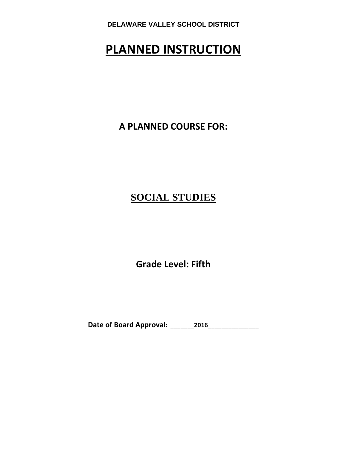# **PLANNED INSTRUCTION**

**A PLANNED COURSE FOR:**

# **SOCIAL STUDIES**

**Grade Level: Fifth**

**Date of Board Approval: \_\_\_\_\_\_\_2016\_\_\_\_\_\_\_\_\_\_\_\_\_\_\_**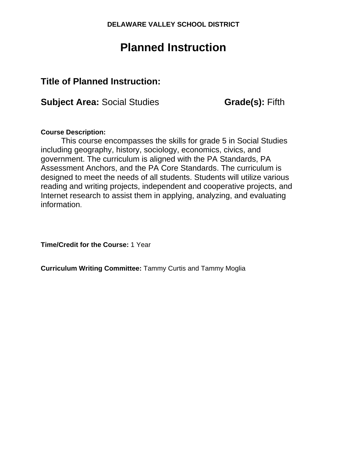# **Planned Instruction**

# **Title of Planned Instruction:**

**Subject Area:** Social Studies **Grade(s): Fifth** 

## **Course Description:**

This course encompasses the skills for grade 5 in Social Studies including geography, history, sociology, economics, civics, and government. The curriculum is aligned with the PA Standards, PA Assessment Anchors, and the PA Core Standards. The curriculum is designed to meet the needs of all students. Students will utilize various reading and writing projects, independent and cooperative projects, and Internet research to assist them in applying, analyzing, and evaluating information.

**Time/Credit for the Course:** 1 Year

**Curriculum Writing Committee:** Tammy Curtis and Tammy Moglia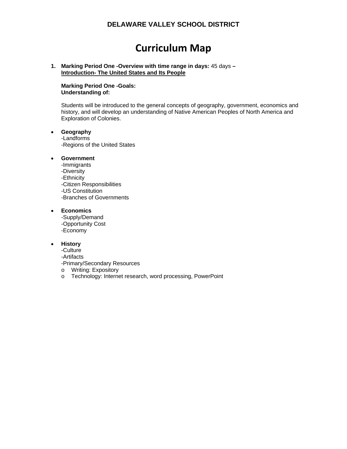# **Curriculum Map**

#### **1. Marking Period One -Overview with time range in days:** 45 days **– Introduction- The United States and Its People**

**Marking Period One -Goals: Understanding of:** 

Students will be introduced to the general concepts of geography, government, economics and history, and will develop an understanding of Native American Peoples of North America and Exploration of Colonies.

#### **Geography**

-Landforms -Regions of the United States

#### **Government**

-Immigrants -Diversity -Ethnicity -Citizen Responsibilities -US Constitution -Branches of Governments

#### **Economics**

-Supply/Demand -Opportunity Cost -Economy

#### **History**

-Culture -Artifacts -Primary/Secondary Resources

o Writing: Expository

o Technology: Internet research, word processing, PowerPoint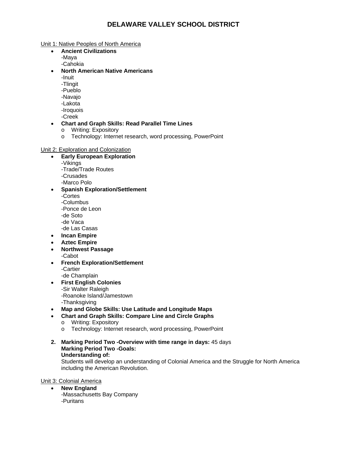Unit 1: Native Peoples of North America

- **Ancient Civilizations** 
	- -Maya
	- -Cahokia
- **North American Native Americans** 
	- -Inuit
	- -Tlingit
	- -Pueblo
	- -Navajo
	- -Lakota
	- -Iroquois
	- -Creek

#### **Chart and Graph Skills: Read Parallel Time Lines**

- o Writing: Expository
- o Technology: Internet research, word processing, PowerPoint

#### Unit 2: Exploration and Colonization

- **Early European Exploration** 
	- -Vikings
	- -Trade/Trade Routes
	- -Crusades
	- -Marco Polo
- **Spanish Exploration/Settlement**  -Cortes -Columbus -Ponce de Leon -de Soto -de Vaca
	- -de Las Casas
- **Incan Empire**
- **Aztec Empire**
- **Northwest Passage**  -Cabot
- **French Exploration/Settlement**  -Cartier -de Champlain
- **First English Colonies**  -Sir Walter Raleigh -Roanoke Island/Jamestown -Thanksgiving
- **Map and Globe Skills: Use Latitude and Longitude Maps**
- **Chart and Graph Skills: Compare Line and Circle Graphs** 
	- o Writing: Expository
	- o Technology: Internet research, word processing, PowerPoint
- **2. Marking Period Two -Overview with time range in days:** 45 days **Marking Period Two -Goals: Understanding of:**

Students will develop an understanding of Colonial America and the Struggle for North America including the American Revolution.

Unit 3: Colonial America

- **New England** 
	- -Massachusetts Bay Company -Puritans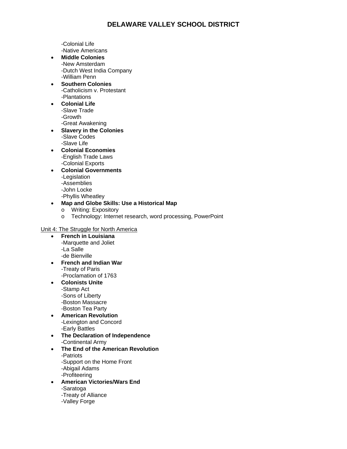-Colonial Life -Native Americans

- **Middle Colonies**  -New Amsterdam -Dutch West India Company -William Penn
- **Southern Colonies**  -Catholicism v. Protestant -Plantations
- **Colonial Life**  -Slave Trade -Growth -Great Awakening
- **Slavery in the Colonies**  -Slave Codes -Slave Life
- **Colonial Economies**  -English Trade Laws -Colonial Exports
- **Colonial Governments**  -Legislation -Assemblies
	- -John Locke
	- -Phyllis Wheatley
- **Map and Globe Skills: Use a Historical Map** 
	- o Writing: Expository
	- o Technology: Internet research, word processing, PowerPoint

#### Unit 4: The Struggle for North America

- **French in Louisiana**  -Marquette and Joliet -La Salle -de Bienville
- **French and Indian War**  -Treaty of Paris -Proclamation of 1763
- **Colonists Unite**  -Stamp Act -Sons of Liberty -Boston Massacre -Boston Tea Party
- **American Revolution**  -Lexington and Concord -Early Battles
- **The Declaration of Independence**
- -Continental Army **The End of the American Revolution**
- -Patriots -Support on the Home Front -Abigail Adams
	- -Profiteering
- **American Victories/Wars End**  -Saratoga -Treaty of Alliance
	- -Valley Forge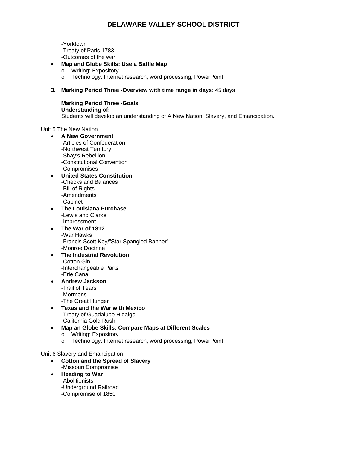-Yorktown

-Treaty of Paris 1783

- -Outcomes of the war
- **Map and Globe Skills: Use a Battle Map** 
	- o Writing: Expository
	- o Technology: Internet research, word processing, PowerPoint
- **3. Marking Period Three -Overview with time range in days**: 45 days

**Marking Period Three -Goals Understanding of:**  Students will develop an understanding of A New Nation, Slavery, and Emancipation.

Unit 5 The New Nation

- **A New Government**  -Articles of Confederation -Northwest Territory
	- -Shay's Rebellion
	- -Constitutional Convention
	- -Compromises
- **United States Constitution**  -Checks and Balances -Bill of Rights -Amendments -Cabinet
- **The Louisiana Purchase**  -Lewis and Clarke -Impressment
- **The War of 1812**  -War Hawks -Francis Scott Key/"Star Spangled Banner" -Monroe Doctrine
- **The Industrial Revolution**  -Cotton Gin -Interchangeable Parts -Erie Canal
- **Andrew Jackson**  -Trail of Tears -Mormons
	- -The Great Hunger
- **Texas and the War with Mexico**  -Treaty of Guadalupe Hidalgo -California Gold Rush
- **Map an Globe Skills: Compare Maps at Different Scales**  o Writing: Expository
	- o Technology: Internet research, word processing, PowerPoint

#### Unit 6 Slavery and Emancipation

- **Cotton and the Spread of Slavery**  -Missouri Compromise
- **Heading to War**  -Abolitionists -Underground Railroad
	- -Compromise of 1850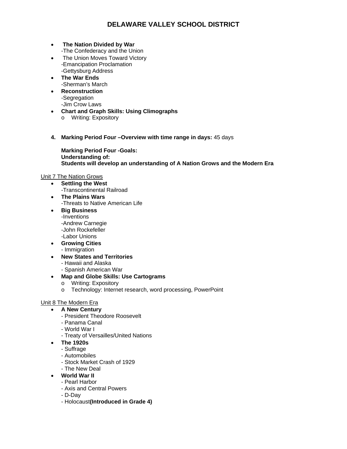- **The Nation Divided by War** 
	- -The Confederacy and the Union
- The Union Moves Toward Victory -Emancipation Proclamation -Gettysburg Address
- **The War Ends**  -Sherman's March
- **Reconstruction**  -Segregation -Jim Crow Laws
- **Chart and Graph Skills: Using Climographs**  o Writing: Expository
- **4. Marking Period Four –Overview with time range in days:** 45 days

**Marking Period Four -Goals: Understanding of: Students will develop an understanding of A Nation Grows and the Modern Era** 

#### Unit 7 The Nation Grows

- **Settling the West**  -Transcontinental Railroad
- **The Plains Wars**  -Threats to Native American Life
- **Big Business**  -Inventions -Andrew Carnegie -John Rockefeller -Labor Unions
- **Growing Cities**  - Immigration
- **New States and Territories** 
	- Hawaii and Alaska
	- Spanish American War
- **Map and Globe Skills: Use Cartograms** 
	- o Writing: Expository
	- o Technology: Internet research, word processing, PowerPoint

#### Unit 8 The Modern Era

- **A New Century** 
	- President Theodore Roosevelt
	- Panama Canal
	- World War I
	- Treaty of Versailles/United Nations
- **The 1920s** 
	- Suffrage
	- Automobiles
	- Stock Market Crash of 1929
	- The New Deal
- **World War II** 
	- Pearl Harbor
	- Axis and Central Powers
	- D-Day
	- Holocaust**(Introduced in Grade 4)**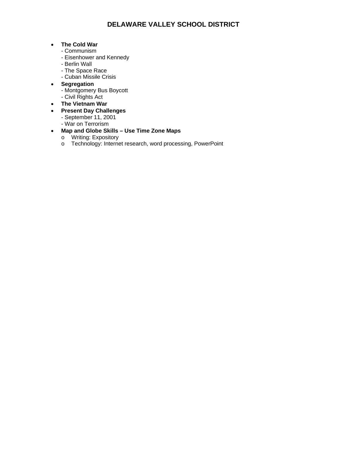#### **The Cold War**

- Communism
- Eisenhower and Kennedy
- Berlin Wall
- The Space Race
- Cuban Missile Crisis
- **Segregation** 
	- Montgomery Bus Boycott
	- Civil Rights Act
- **The Vietnam War**
- **Present Day Challenges** 
	- September 11, 2001
	- War on Terrorism

### **Map and Globe Skills – Use Time Zone Maps**

- o Writing: Expository
- o Technology: Internet research, word processing, PowerPoint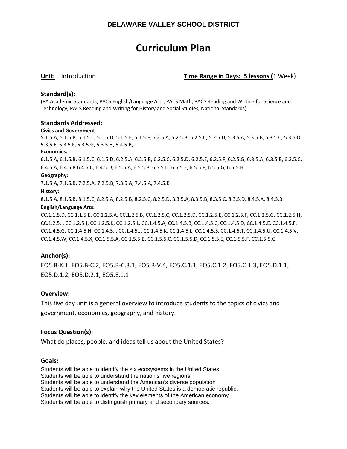# **Curriculum Plan**

**Unit:** Introduction **Time Range in Days: 5 lessons (**1 Week)

#### **Standard(s):**

(PA Academic Standards, PACS English/Language Arts, PACS Math, PACS Reading and Writing for Science and Technology, PACS Reading and Writing for History and Social Studies, National Standards)

#### **Standards Addressed:**

#### **Civics and Government**

5.1.5.A, 5.1.5.B, 5.1.5.C, 5.1.5.D, 5.1.5.E, 5.1.5.F, 5.2.5.A, 5.2.5.B, 5.2.5.C, 5.2.5.D, 5.3.5.A, 5.3.5.B, 5.3.5.C, 5.3.5.D, 5.3.5.E, 5.3.5.F, 5.3.5.G, 5.3.5.H, 5.4.5.B,

#### **Economics:**

6.1.5.A, 6.1.5.B, 6.1.5.C, 6.1.5.D, 6.2.5.A, 6.2.5.B, 6.2.5.C, 6.2.5.D, 6.2.5.E, 6.2.5.F, 6.2.5.G, 6.3.5.A, 6.3.5.B, 6.3.5.C, 6.4.5.A, 6.4.5.B 6.4.5.C, 6.4.5.D, 6.5.5.A, 6.5.5.B, 6.5.5.D, 6.5.5.E, 6.5.5.F, 6.5.5.G, 6.5.5.H

#### **Geography:**

7.1.5.A, 7.1.5.B, 7.2.5.A, 7.2.5.B, 7.3.5.A, 7.4.5.A, 7.4.5.B

#### **History:**

8.1.5.A, 8.1.5.B, 8.1.5.C, 8.2.5.A, 8.2.5.B, 8.2.5.C, 8.2.5.D, 8.3.5.A, 8.3.5.B, 8.3.5.C, 8.3.5.D, 8.4.5.A, 8.4.5.B

#### **English/Language Arts:**

CC.1.1.5.D, CC.1.1.5.E, CC.1.2.5.A, CC.1.2.5.B, CC.1.2.5.C, CC.1.2.5.D, CC.1.2.5.E, CC.1.2.5.F, CC.1.2.5.G, CC.1.2.5.H, CC.1.2.5.I, CC.1.2.5.J, CC.1.2.5.K, CC.1.2.5.L, CC.1.4.5.A, CC.1.4.5.B, CC.1.4.5.C, CC.1.4.5.D, CC.1.4.5.E, CC.1.4.5.F, CC.1.4.5.G, CC.1.4.5.H, CC.1.4.5.I, CC.1.4.5.J, CC.1.4.5.K, CC.1.4.5.L, CC.1.4.5.S, CC.1.4.5.T, CC.1.4.5.U, CC.1.4.5.V, CC.1.4.5.W, CC.1.4.5.X, CC.1.5.5.A, CC.1.5.5.B, CC.1.5.5.C, CC.1.5.5.D, CC.1.5.5.E, CC.1.5.5.F, CC.1.5.5.G

#### **Anchor(s):**

EO5.B‐K.1, EO5.B‐C.2, EO5.B‐C.3.1, EO5.B‐V.4, EO5.C.1.1, EO5.C.1.2, EO5.C.1.3, EO5.D.1.1, EO5.D.1.2, EO5.D.2.1, EO5.E.1.1

#### **Overview:**

This five day unit is a general overview to introduce students to the topics of civics and government, economics, geography, and history.

#### **Focus Question(s):**

What do places, people, and ideas tell us about the United States?

#### **Goals:**

Students will be able to identify the six ecosystems in the United States. Students will be able to understand the nation's five regions. Students will be able to understand the American's diverse population Students will be able to explain why the United States is a democratic republic. Students will be able to identify the key elements of the American economy. Students will be able to distinguish primary and secondary sources.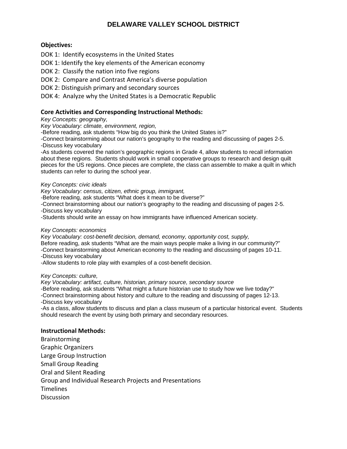#### **Objectives:**

DOK 1: Identify ecosystems in the United States

DOK 1: Identify the key elements of the American economy

DOK 2: Classify the nation into five regions

DOK 2: Compare and Contrast America's diverse population

DOK 2: Distinguish primary and secondary sources

DOK 4: Analyze why the United States is a Democratic Republic

#### **Core Activities and Corresponding Instructional Methods:**

*Key Concepts: geography,* 

*Key Vocabulary: climate, environment, region,* 

-Before reading, ask students "How big do you think the United States is?"

-Connect brainstorming about our nation's geography to the reading and discussing of pages 2-5.

-Discuss key vocabulary

-As students covered the nation's geographic regions in Grade 4, allow students to recall information about these regions. Students should work in small cooperative groups to research and design quilt pieces for the US regions. Once pieces are complete, the class can assemble to make a quilt in which students can refer to during the school year.

#### *Key Concepts: civic ideals*

*Key Vocabulary: census, citizen, ethnic group, immigrant,* 

-Before reading, ask students "What does it mean to be diverse?"

-Connect brainstorming about our nation's geography to the reading and discussing of pages 2-5. -Discuss key vocabulary

-Students should write an essay on how immigrants have influenced American society.

#### *Key Concepts: economics*

*Key Vocabulary: cost-benefit decision, demand, economy, opportunity cost, supply,* 

Before reading, ask students "What are the main ways people make a living in our community?"

-Connect brainstorming about American economy to the reading and discussing of pages 10-11. -Discuss key vocabulary

-Allow students to role play with examples of a cost-benefit decision.

#### *Key Concepts: culture,*

*Key Vocabulary: artifact, culture, historian, primary source, secondary source* 

-Before reading, ask students "What might a future historian use to study how we live today?"

-Connect brainstorming about history and culture to the reading and discussing of pages 12-13.

-Discuss key vocabulary

-As a class, allow students to discuss and plan a class museum of a particular historical event. Students should research the event by using both primary and secondary resources.

#### **Instructional Methods:**

Brainstorming Graphic Organizers Large Group Instruction Small Group Reading Oral and Silent Reading Group and Individual Research Projects and Presentations Timelines **Discussion**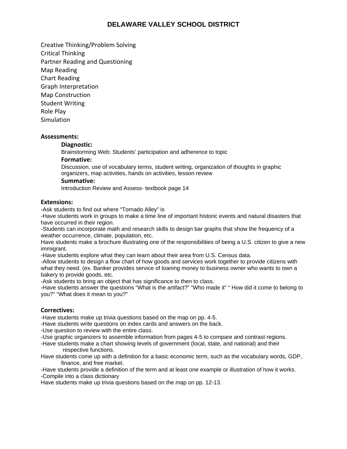Creative Thinking/Problem Solving Critical Thinking Partner Reading and Questioning Map Reading Chart Reading Graph Interpretation Map Construction Student Writing Role Play **Simulation** 

#### **Assessments:**

#### **Diagnostic:**

Brainstorming Web: Students' participation and adherence to topic

#### **Formative:**

Discussion, use of vocabulary terms, student writing, organization of thoughts in graphic organizers, map activities, hands on activities, lesson review

#### **Summative:**

Introduction Review and Assess- textbook page 14

#### **Extensions:**

-Ask students to find out where "Tornado Alley" is

-Have students work in groups to make a time line of important historic events and natural disasters that have occurred in their region.

-Students can incorporate math and research skills to design bar graphs that show the frequency of a weather occurrence, climate, population, etc.

Have students make a brochure illustrating one of the responsibilities of being a U.S. citizen to give a new immigrant.

-Have students explore what they can learn about their area from U.S. Census data.

-Allow students to design a flow chart of how goods and services work together to provide citizens with what they need. (ex. Banker provides service of loaning money to business owner who wants to own a bakery to provide goods, etc.

-Ask students to bring an object that has significance to then to class.

-Have students answer the questions "What is the artifact?" "Who made it" " How did it come to belong to you?" "What does it mean to you?"

#### **Correctives:**

-Have students make up trivia questions based on the map on pp. 4-5.

-Have students write questions on index cards and answers on the back.

-Use question to review with the entire class.

-Use graphic organizers to assemble information from pages 4-5 to compare and contrast regions.

-Have students make a chart showing levels of government (local, state, and national) and their respective functions.

Have students come up with a definition for a basic economic term, such as the vocabulary words, GDP, finance, and free market.

-Have students provide a definition of the term and at least one example or illustration of how it works. -Compile into a class dictionary

Have students make up trivia questions based on the map on pp. 12-13.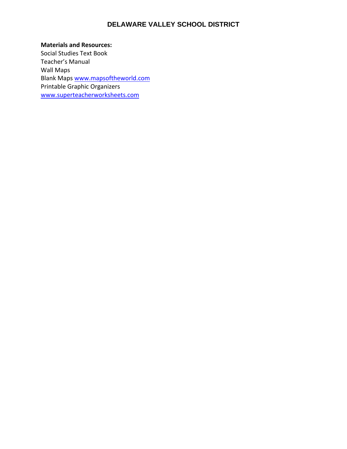**Materials and Resources:** Social Studies Text Book Teacher's Manual Wall Maps Blank Maps www.mapsoftheworld.com Printable Graphic Organizers www.superteacherworksheets.com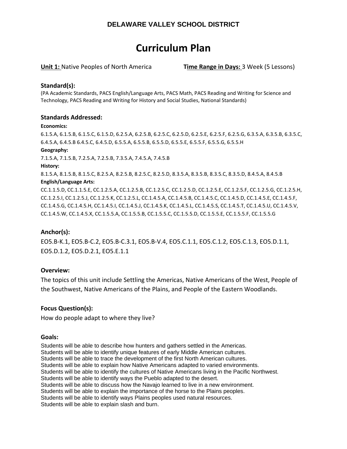# **Curriculum Plan**

**Unit 1:** Native Peoples of North America **Time Range in Days:** 3 Week (5 Lessons)

#### **Standard(s):**

(PA Academic Standards, PACS English/Language Arts, PACS Math, PACS Reading and Writing for Science and Technology, PACS Reading and Writing for History and Social Studies, National Standards)

#### **Standards Addressed:**

#### **Economics:**

6.1.5.A, 6.1.5.B, 6.1.5.C, 6.1.5.D, 6.2.5.A, 6.2.5.B, 6.2.5.C, 6.2.5.D, 6.2.5.E, 6.2.5.F, 6.2.5.G, 6.3.5.A, 6.3.5.B, 6.3.5.C, 6.4.5.A, 6.4.5.B 6.4.5.C, 6.4.5.D, 6.5.5.A, 6.5.5.B, 6.5.5.D, 6.5.5.E, 6.5.5.F, 6.5.5.G, 6.5.5.H

#### **Geography:**

7.1.5.A, 7.1.5.B, 7.2.5.A, 7.2.5.B, 7.3.5.A, 7.4.5.A, 7.4.5.B

#### **History:**

8.1.5.A, 8.1.5.B, 8.1.5.C, 8.2.5.A, 8.2.5.B, 8.2.5.C, 8.2.5.D, 8.3.5.A, 8.3.5.B, 8.3.5.C, 8.3.5.D, 8.4.5.A, 8.4.5.B **English/Language Arts:**

CC.1.1.5.D, CC.1.1.5.E, CC.1.2.5.A, CC.1.2.5.B, CC.1.2.5.C, CC.1.2.5.D, CC.1.2.5.E, CC.1.2.5.F, CC.1.2.5.G, CC.1.2.5.H, CC.1.2.5.I, CC.1.2.5.J, CC.1.2.5.K, CC.1.2.5.L, CC.1.4.5.A, CC.1.4.5.B, CC.1.4.5.C, CC.1.4.5.D, CC.1.4.5.E, CC.1.4.5.F, CC.1.4.5.G, CC.1.4.5.H, CC.1.4.5.I, CC.1.4.5.J, CC.1.4.5.K, CC.1.4.5.L, CC.1.4.5.S, CC.1.4.5.T, CC.1.4.5.U, CC.1.4.5.V, CC.1.4.5.W, CC.1.4.5.X, CC.1.5.5.A, CC.1.5.5.B, CC.1.5.5.C, CC.1.5.5.D, CC.1.5.5.E, CC.1.5.5.F, CC.1.5.5.G

#### **Anchor(s):**

EO5.B‐K.1, EO5.B‐C.2, EO5.B‐C.3.1, EO5.B‐V.4, EO5.C.1.1, EO5.C.1.2, EO5.C.1.3, EO5.D.1.1, EO5.D.1.2, EO5.D.2.1, EO5.E.1.1

#### **Overview:**

The topics of this unit include Settling the Americas, Native Americans of the West, People of the Southwest, Native Americans of the Plains, and People of the Eastern Woodlands.

#### **Focus Question(s):**

How do people adapt to where they live?

#### **Goals:**

Students will be able to describe how hunters and gathers settled in the Americas. Students will be able to identify unique features of early Middle American cultures. Students will be able to trace the development of the first North American cultures. Students will be able to explain how Native Americans adapted to varied environments. Students will be able to identify the cultures of Native Americans living in the Pacific Northwest. Students will be able to identify ways the Pueblo adapted to the desert. Students will be able to discuss how the Navajo learned to live in a new environment. Students will be able to explain the importance of the horse to the Plains peoples. Students will be able to identify ways Plains peoples used natural resources. Students will be able to explain slash and burn.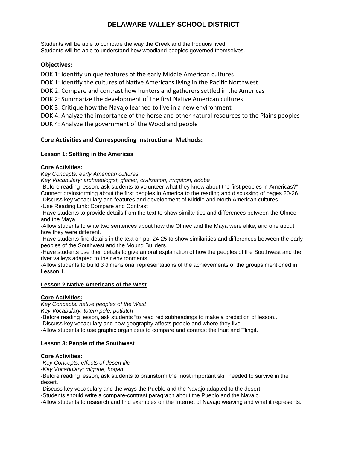Students will be able to compare the way the Creek and the Iroquois lived. Students will be able to understand how woodland peoples governed themselves.

#### **Objectives:**

DOK 1: Identify unique features of the early Middle American cultures

DOK 1: Identify the cultures of Native Americans living in the Pacific Northwest

DOK 2: Compare and contrast how hunters and gatherers settled in the Americas

DOK 2: Summarize the development of the first Native American cultures

DOK 3: Critique how the Navajo learned to live in a new environment

DOK 4: Analyze the importance of the horse and other natural resources to the Plains peoples

DOK 4: Analyze the government of the Woodland people

#### **Core Activities and Corresponding Instructional Methods:**

#### **Lesson 1: Settling in the Americas**

#### **Core Activities:**

*Key Concepts: early American cultures* 

*Key Vocabulary: archaeologist, glacier, civilization, irrigation, adobe* 

-Before reading lesson, ask students to volunteer what they know about the first peoples in Americas?" Connect brainstorming about the first peoples in America to the reading and discussing of pages 20-26. -Discuss key vocabulary and features and development of Middle and North American cultures.

-Use Reading Link: Compare and Contrast

-Have students to provide details from the text to show similarities and differences between the Olmec and the Maya.

-Allow students to write two sentences about how the Olmec and the Maya were alike, and one about how they were different.

-Have students find details in the text on pp. 24-25 to show similarities and differences between the early peoples of the Southwest and the Mound Builders.

-Have students use their details to give an oral explanation of how the peoples of the Southwest and the river valleys adapted to their environments.

-Allow students to build 3 dimensional representations of the achievements of the groups mentioned in Lesson 1.

#### **Lesson 2 Native Americans of the West**

#### **Core Activities:**

*Key Concepts: native peoples of the West* 

*Key Vocabulary: totem pole, potlatch* 

-Before reading lesson, ask students "to read red subheadings to make a prediction of lesson..

-Discuss key vocabulary and how geography affects people and where they live

-Allow students to use graphic organizers to compare and contrast the Inuit and Tlingit.

#### **Lesson 3: People of the Southwest**

#### **Core Activities:**

*-Key Concepts: effects of desert life* 

*-Key Vocabulary: migrate, hogan* 

-Before reading lesson, ask students to brainstorm the most important skill needed to survive in the desert.

-Discuss key vocabulary and the ways the Pueblo and the Navajo adapted to the desert

-Students should write a compare-contrast paragraph about the Pueblo and the Navajo.

-Allow students to research and find examples on the Internet of Navajo weaving and what it represents.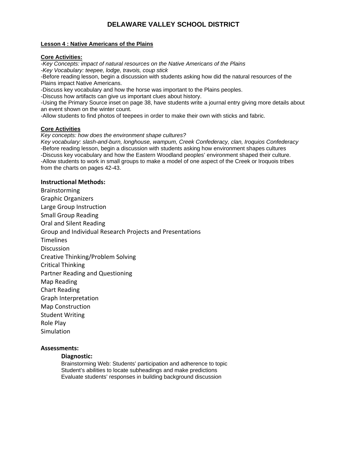#### **Lesson 4 : Native Americans of the Plains**

#### **Core Activities:**

*-Key Concepts: impact of natural resources on the Native Americans of the Plains -Key Vocabulary: teepee, lodge, travois, coup stick*  -Before reading lesson, begin a discussion with students asking how did the natural resources of the Plains impact Native Americans.

-Discuss key vocabulary and how the horse was important to the Plains peoples.

-Discuss how artifacts can give us important clues about history.

-Using the Primary Source inset on page 38, have students write a journal entry giving more details about an event shown on the winter count.

-Allow students to find photos of teepees in order to make their own with sticks and fabric.

### **Core Activities**

*Key concepts: how does the environment shape cultures?* 

*Key vocabulary: slash-and-burn, longhouse, wampum, Creek Confederacy, clan, Iroquios Confederacy* -Before reading lesson, begin a discussion with students asking how environment shapes cultures -Discuss key vocabulary and how the Eastern Woodland peoples' environment shaped their culture. -Allow students to work in small groups to make a model of one aspect of the Creek or Iroquois tribes from the charts on pages 42-43.

#### **Instructional Methods:**

Brainstorming Graphic Organizers Large Group Instruction Small Group Reading Oral and Silent Reading Group and Individual Research Projects and Presentations **Timelines Discussion** Creative Thinking/Problem Solving Critical Thinking Partner Reading and Questioning Map Reading Chart Reading Graph Interpretation Map Construction Student Writing Role Play **Simulation** 

#### **Assessments:**

#### **Diagnostic:**

Brainstorming Web: Students' participation and adherence to topic Student's abilities to locate subheadings and make predictions Evaluate students' responses in building background discussion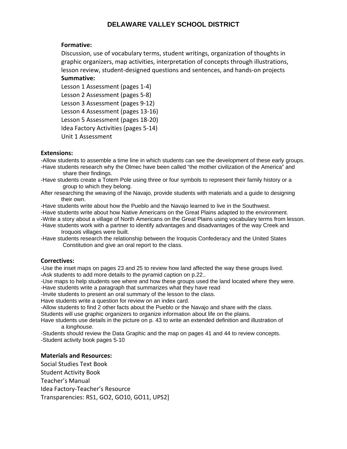### **Formative:**

Discussion, use of vocabulary terms, student writings, organization of thoughts in graphic organizers, map activities, interpretation of concepts through illustrations, lesson review, student‐designed questions and sentences, and hands‐on projects **Summative:**

# Lesson 1 Assessment (pages 1‐4) Lesson 2 Assessment (pages 5‐8) Lesson 3 Assessment (pages 9‐12)

Lesson 4 Assessment (pages 13‐16)

Lesson 5 Assessment (pages 18‐20)

Idea Factory Activities (pages 5‐14)

Unit 1 Assessment

#### **Extensions:**

-Allow students to assemble a time line in which students can see the development of these early groups.

- -Have students research why the Olmec have been called "the mother civilization of the America" and share their findings.
- -Have students create a Totem Pole using three or four symbols to represent their family history or a group to which they belong.
- After researching the weaving of the Navajo, provide students with materials and a guide to designing their own.
- -Have students write about how the Pueblo and the Navajo learned to live in the Southwest.
- -Have students write about how Native Americans on the Great Plains adapted to the environment.
- -Write a story about a village of North Americans on the Great Plains using vocabulary terms from lesson.
- -Have students work with a partner to identify advantages and disadvantages of the way Creek and Iroquois villages were built.
- -Have students research the relationship between the Iroquois Confederacy and the United States Constitution and give an oral report to the class.

#### **Correctives:**

-Use the inset maps on pages 23 and 25 to review how land affected the way these groups lived. **-**Ask students to add more details to the pyramid caption on p.22..

-Use maps to help students see where and how these groups used the land located where they were. -Have students write a paragraph that summarizes what they have read

-Invite students to present an oral summary of the lesson to the class.

Have students write a question for review on an index card.

-Allow students to find 2 other facts about the Pueblo or the Navajo and share with the class.

Students will use graphic organizers to organize information about life on the plains.

Have students use details in the picture on p. 43 to write an extended definition and illustration of a *longhouse.* 

-Students should review the Data Graphic and the map on pages 41 and 44 to review concepts. *-*Student activity book pages 5-10

#### **Materials and Resources:**

Social Studies Text Book Student Activity Book Teacher's Manual Idea Factory‐Teacher's Resource Transparencies: RS1, GO2, GO10, GO11, UPS2]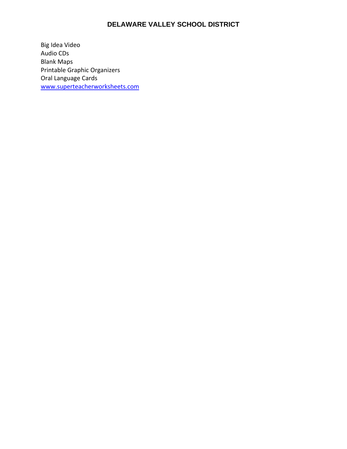Big Idea Video Audio CDs Blank Maps Printable Graphic Organizers Oral Language Cards www.superteacherworksheets.com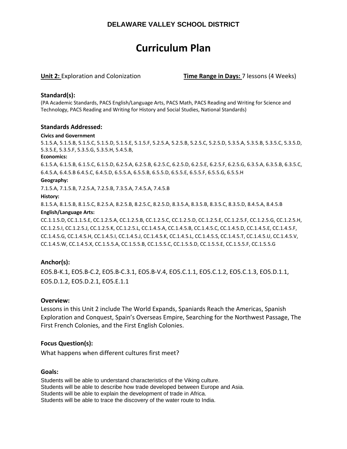# **Curriculum Plan**

**Unit 2:** Exploration and Colonization **Time Range in Days:** 7 lessons (4 Weeks)

#### **Standard(s):**

(PA Academic Standards, PACS English/Language Arts, PACS Math, PACS Reading and Writing for Science and Technology, PACS Reading and Writing for History and Social Studies, National Standards)

#### **Standards Addressed:**

#### **Civics and Government**

5.1.5.A, 5.1.5.B, 5.1.5.C, 5.1.5.D, 5.1.5.E, 5.1.5.F, 5.2.5.A, 5.2.5.B, 5.2.5.C, 5.2.5.D, 5.3.5.A, 5.3.5.B, 5.3.5.C, 5.3.5.D, 5.3.5.E, 5.3.5.F, 5.3.5.G, 5.3.5.H, 5.4.5.B,

#### **Economics:**

6.1.5.A, 6.1.5.B, 6.1.5.C, 6.1.5.D, 6.2.5.A, 6.2.5.B, 6.2.5.C, 6.2.5.D, 6.2.5.E, 6.2.5.F, 6.2.5.G, 6.3.5.A, 6.3.5.B, 6.3.5.C, 6.4.5.A, 6.4.5.B 6.4.5.C, 6.4.5.D, 6.5.5.A, 6.5.5.B, 6.5.5.D, 6.5.5.E, 6.5.5.F, 6.5.5.G, 6.5.5.H

#### **Geography:**

7.1.5.A, 7.1.5.B, 7.2.5.A, 7.2.5.B, 7.3.5.A, 7.4.5.A, 7.4.5.B

#### **History:**

8.1.5.A, 8.1.5.B, 8.1.5.C, 8.2.5.A, 8.2.5.B, 8.2.5.C, 8.2.5.D, 8.3.5.A, 8.3.5.B, 8.3.5.C, 8.3.5.D, 8.4.5.A, 8.4.5.B

#### **English/Language Arts:**

CC.1.1.5.D, CC.1.1.5.E, CC.1.2.5.A, CC.1.2.5.B, CC.1.2.5.C, CC.1.2.5.D, CC.1.2.5.E, CC.1.2.5.F, CC.1.2.5.G, CC.1.2.5.H, CC.1.2.5.I, CC.1.2.5.J, CC.1.2.5.K, CC.1.2.5.L, CC.1.4.5.A, CC.1.4.5.B, CC.1.4.5.C, CC.1.4.5.D, CC.1.4.5.E, CC.1.4.5.F, CC.1.4.5.G, CC.1.4.5.H, CC.1.4.5.I, CC.1.4.5.J, CC.1.4.5.K, CC.1.4.5.L, CC.1.4.5.S, CC.1.4.5.T, CC.1.4.5.U, CC.1.4.5.V, CC.1.4.5.W, CC.1.4.5.X, CC.1.5.5.A, CC.1.5.5.B, CC.1.5.5.C, CC.1.5.5.D, CC.1.5.5.E, CC.1.5.5.F, CC.1.5.5.G

#### **Anchor(s):**

EO5.B‐K.1, EO5.B‐C.2, EO5.B‐C.3.1, EO5.B‐V.4, EO5.C.1.1, EO5.C.1.2, EO5.C.1.3, EO5.D.1.1, EO5.D.1.2, EO5.D.2.1, EO5.E.1.1

#### **Overview:**

Lessons in this Unit 2 include The World Expands, Spaniards Reach the Americas, Spanish Exploration and Conquest, Spain's Overseas Empire, Searching for the Northwest Passage, The First French Colonies, and the First English Colonies.

#### **Focus Question(s):**

What happens when different cultures first meet?

#### **Goals:**

Students will be able to understand characteristics of the Viking culture. Students will be able to describe how trade developed between Europe and Asia. Students will be able to explain the development of trade in Africa. Students will be able to trace the discovery of the water route to India.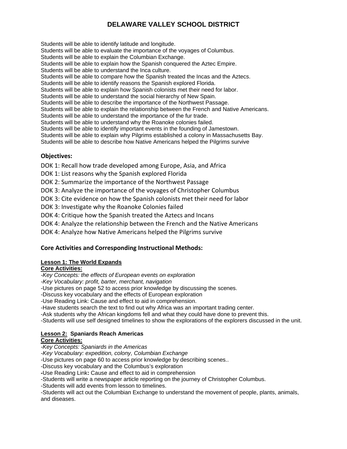Students will be able to identify latitude and longitude. Students will be able to evaluate the importance of the voyages of Columbus. Students will be able to explain the Columbian Exchange. Students will be able to explain how the Spanish conquered the Aztec Empire. Students will be able to understand the Inca culture. Students will be able to compare how the Spanish treated the Incas and the Aztecs. Students will be able to identify reasons the Spanish explored Florida. Students will be able to explain how Spanish colonists met their need for labor. Students will be able to understand the social hierarchy of New Spain. Students will be able to describe the importance of the Northwest Passage. Students will be able to explain the relationship between the French and Native Americans. Students will be able to understand the importance of the fur trade. Students will be able to understand why the Roanoke colonies failed. Students will be able to identify important events in the founding of Jamestown. Students will be able to explain why Pilgrims established a colony in Massachusetts Bay. Students will be able to describe how Native Americans helped the Pilgrims survive

#### **Objectives:**

DOK 1: Recall how trade developed among Europe, Asia, and Africa

DOK 1: List reasons why the Spanish explored Florida

DOK 2: Summarize the importance of the Northwest Passage

DOK 3: Analyze the importance of the voyages of Christopher Columbus

DOK 3: Cite evidence on how the Spanish colonists met their need for labor

DOK 3: Investigate why the Roanoke Colonies failed

DOK 4: Critique how the Spanish treated the Aztecs and Incans

DOK 4: Analyze the relationship between the French and the Native Americans

DOK 4: Analyze how Native Americans helped the Pilgrims survive

#### **Core Activities and Corresponding Instructional Methods:**

#### **Lesson 1: The World Expands**

### **Core Activities:**

*-Key Concepts: the effects of European events on exploration* 

*-Key Vocabulary: profit, barter, merchant, navigation*

-Use pictures on page 52 to access prior knowledge by discussing the scenes.

-Discuss key vocabulary and the effects of European exploration

-Use Reading Link: Cause and effect to aid in comprehension.

-Have students search the text to find out why Africa was an important trading center.

-Ask students why the African kingdoms fell and what they could have done to prevent this.

-Students will use self designed timelines to show the explorations of the explorers discussed in the unit.

#### **Lesson 2: Spaniards Reach Americas Core Activities:**

*-Key Concepts: Spaniards in the Americas* 

*-Key Vocabulary: expedition, colony, Columbian Exchange*

-Use pictures on page 60 to access prior knowledge by describing scenes..

-Discuss key vocabulary and the Columbus's exploration

**-**Use Reading Link**:** Cause and effect to aid in comprehension

-Students will write a newspaper article reporting on the journey of Christopher Columbus.

-Students will add events from lesson to timelines.

-Students will act out the Columbian Exchange to understand the movement of people, plants, animals, and diseases.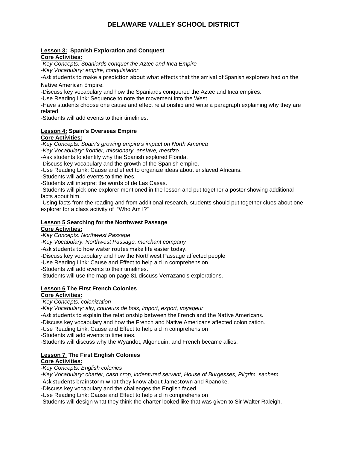#### **Lesson 3: Spanish Exploration and Conquest Core Activities:**

*-Key Concepts: Spaniards conquer the Aztec and Inca Empire -Key Vocabulary: empire, conquistador* 

‐Ask students to make a prediction about what effects that the arrival of Spanish explorers had on the Native American Empire.

-Discuss key vocabulary and how the Spaniards conquered the Aztec and Inca empires.

-Use Reading Link: Sequence to note the movement into the West.

-Have students choose one cause and effect relationship and write a paragraph explaining why they are related.

-Students will add events to their timelines.

# **Lesson 4: Spain's Overseas Empire**

#### **Core Activities:**

*-Key Concepts: Spain's growing empire's impact on North America* 

*-Key Vocabulary: frontier, missionary, enslave, mestizo* 

-Ask students to identify why the Spanish explored Florida.

-Discuss key vocabulary and the growth of the Spanish empire.

-Use Reading Link: Cause and effect to organize ideas about enslaved Africans.

-Students will add events to timelines.

-Students will interpret the words of de Las Casas.

-Students will pick one explorer mentioned in the lesson and put together a poster showing additional facts about him.

-Using facts from the reading and from additional research, students should put together clues about one explorer for a class activity of "Who Am I?"

#### **Lesson 5 Searching for the Northwest Passage Core Activities:**

*-Key Concepts: Northwest Passage* 

*-Key Vocabulary: Northwest Passage, merchant company* 

‐Ask students to how water routes make life easier today.

-Discuss key vocabulary and how the Northwest Passage affected people

-Use Reading Link: Cause and Effect to help aid in comprehension

-Students will add events to their timelines.

-Students will use the map on page 81 discuss Verrazano's explorations.

# **Lesson 6 The First French Colonies**

### **Core Activities:**

*-Key Concepts: colonization* 

*-Key Vocabulary: ally, coureurs de bois, import, export, voyageur* 

‐Ask students to explain the relationship between the French and the Native Americans.

-Discuss key vocabulary and how the French and Native Americans affected colonization.

-Use Reading Link: Cause and Effect to help aid in comprehension

-Students will add events to timelines.

-Students will discuss why the Wyandot, Algonquin, and French became allies.

#### **Lesson 7 The First English Colonies**

#### **Core Activities:**

*-Key Concepts: English colonies* 

*-Key Vocabulary: charter, cash crop, indentured servant, House of Burgesses, Pilgrim, sachem -*Ask students brainstorm what they know about Jamestown and Roanoke.

-Discuss key vocabulary and the challenges the English faced.

-Use Reading Link: Cause and Effect to help aid in comprehension

-Students will design what they think the charter looked like that was given to Sir Walter Raleigh.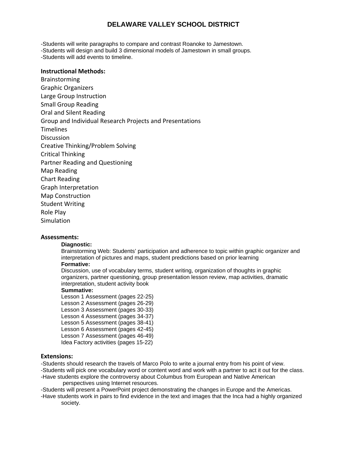-Students will write paragraphs to compare and contrast Roanoke to Jamestown.

-Students will design and build 3 dimensional models of Jamestown in small groups. -Students will add events to timeline.

#### **Instructional Methods:**

Brainstorming Graphic Organizers Large Group Instruction Small Group Reading Oral and Silent Reading Group and Individual Research Projects and Presentations **Timelines Discussion** Creative Thinking/Problem Solving Critical Thinking Partner Reading and Questioning Map Reading Chart Reading Graph Interpretation Map Construction Student Writing Role Play **Simulation** 

#### **Assessments:**

#### **Diagnostic:**

Brainstorming Web: Students' participation and adherence to topic within graphic organizer and interpretation of pictures and maps, student predictions based on prior learning

#### **Formative:**

Discussion, use of vocabulary terms, student writing, organization of thoughts in graphic organizers, partner questioning, group presentation lesson review, map activities, dramatic interpretation, student activity book

#### **Summative:**

Lesson 1 Assessment (pages 22-25) Lesson 2 Assessment (pages 26-29) Lesson 3 Assessment (pages 30-33) Lesson 4 Assessment (pages 34-37) Lesson 5 Assessment (pages 38-41) Lesson 6 Assessment (pages 42-45) Lesson 7 Assessment (pages 46-49) Idea Factory activities (pages 15-22)

#### **Extensions:**

-Students should research the travels of Marco Polo to write a journal entry from his point of view.

-Students will pick one vocabulary word or content word and work with a partner to act it out for the class. -Have students explore the controversy about Columbus from European and Native American

perspectives using Internet resources.

-Students will present a PowerPoint project demonstrating the changes in Europe and the Americas.

-Have students work in pairs to find evidence in the text and images that the Inca had a highly organized society.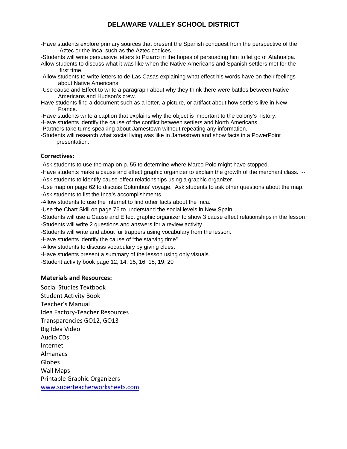-Have students explore primary sources that present the Spanish conquest from the perspective of the Aztec or the Inca, such as the Aztec codices.

-Students will write persuasive letters to Pizarro in the hopes of persuading him to let go of Atahualpa.

- Allow students to discuss what it was like when the Native Americans and Spanish settlers met for the first time.
- -Allow students to write letters to de Las Casas explaining what effect his words have on their feelings about Native Americans.
- -Use cause and Effect to write a paragraph about why they think there were battles between Native Americans and Hudson's crew.
- Have students find a document such as a letter, a picture, or artifact about how settlers live in New France.
- -Have students write a caption that explains why the object is important to the colony's history.
- -Have students identify the cause of the conflict between settlers and North Americans.
- -Partners take turns speaking about Jamestown without repeating any information.
- -Students will research what social living was like in Jamestown and show facts in a PowerPoint presentation.

#### **Correctives:**

-Ask students to use the map on p. 55 to determine where Marco Polo might have stopped.

-Have students make a cause and effect graphic organizer to explain the growth of the merchant class. -- -Ask students to identify cause-effect relationships using a graphic organizer.

-Use map on page 62 to discuss Columbus' voyage. Ask students to ask other questions about the map. -Ask students to list the Inca's accomplishments.

-Allow students to use the Internet to find other facts about the Inca.

-Use the Chart Skill on page 76 to understand the social levels in New Spain.

-Students will use a Cause and Effect graphic organizer to show 3 cause effect relationships in the lesson -Students will write 2 questions and answers for a review activity.

-Students will write and about fur trappers using vocabulary from the lesson.

-Have students identify the cause of "the starving time".

-Allow students to discuss vocabulary by giving clues.

-Have students present a summary of the lesson using only visuals.

-Student activity book page 12, 14, 15, 16, 18, 19, 20

#### **Materials and Resources:**

Social Studies Textbook Student Activity Book Teacher's Manual Idea Factory‐Teacher Resources Transparencies GO12, GO13 Big Idea Video Audio CDs Internet Almanacs Globes Wall Maps Printable Graphic Organizers www.superteacherworksheets.com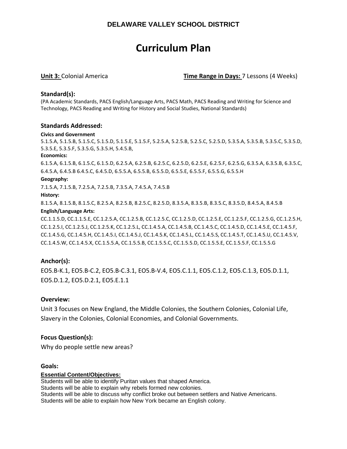# **Curriculum Plan**

**Unit 3:** Colonial America **Time Range in Days:** 7 Lessons (4 Weeks)

#### **Standard(s):**

(PA Academic Standards, PACS English/Language Arts, PACS Math, PACS Reading and Writing for Science and Technology, PACS Reading and Writing for History and Social Studies, National Standards)

#### **Standards Addressed:**

#### **Civics and Government**

5.1.5.A, 5.1.5.B, 5.1.5.C, 5.1.5.D, 5.1.5.E, 5.1.5.F, 5.2.5.A, 5.2.5.B, 5.2.5.C, 5.2.5.D, 5.3.5.A, 5.3.5.B, 5.3.5.C, 5.3.5.D, 5.3.5.E, 5.3.5.F, 5.3.5.G, 5.3.5.H, 5.4.5.B,

#### **Economics:**

6.1.5.A, 6.1.5.B, 6.1.5.C, 6.1.5.D, 6.2.5.A, 6.2.5.B, 6.2.5.C, 6.2.5.D, 6.2.5.E, 6.2.5.F, 6.2.5.G, 6.3.5.A, 6.3.5.B, 6.3.5.C, 6.4.5.A, 6.4.5.B 6.4.5.C, 6.4.5.D, 6.5.5.A, 6.5.5.B, 6.5.5.D, 6.5.5.E, 6.5.5.F, 6.5.5.G, 6.5.5.H

#### **Geography:**

7.1.5.A, 7.1.5.B, 7.2.5.A, 7.2.5.B, 7.3.5.A, 7.4.5.A, 7.4.5.B

#### **History:**

8.1.5.A, 8.1.5.B, 8.1.5.C, 8.2.5.A, 8.2.5.B, 8.2.5.C, 8.2.5.D, 8.3.5.A, 8.3.5.B, 8.3.5.C, 8.3.5.D, 8.4.5.A, 8.4.5.B

#### **English/Language Arts:**

CC.1.1.5.D, CC.1.1.5.E, CC.1.2.5.A, CC.1.2.5.B, CC.1.2.5.C, CC.1.2.5.D, CC.1.2.5.E, CC.1.2.5.F, CC.1.2.5.G, CC.1.2.5.H, CC.1.2.5.I, CC.1.2.5.J, CC.1.2.5.K, CC.1.2.5.L, CC.1.4.5.A, CC.1.4.5.B, CC.1.4.5.C, CC.1.4.5.D, CC.1.4.5.E, CC.1.4.5.F, CC.1.4.5.G, CC.1.4.5.H, CC.1.4.5.I, CC.1.4.5.J, CC.1.4.5.K, CC.1.4.5.L, CC.1.4.5.S, CC.1.4.5.T, CC.1.4.5.U, CC.1.4.5.V, CC.1.4.5.W, CC.1.4.5.X, CC.1.5.5.A, CC.1.5.5.B, CC.1.5.5.C, CC.1.5.5.D, CC.1.5.5.E, CC.1.5.5.F, CC.1.5.5.G

#### **Anchor(s):**

EO5.B‐K.1, EO5.B‐C.2, EO5.B‐C.3.1, EO5.B‐V.4, EO5.C.1.1, EO5.C.1.2, EO5.C.1.3, EO5.D.1.1, EO5.D.1.2, EO5.D.2.1, EO5.E.1.1

#### **Overview:**

Unit 3 focuses on New England, the Middle Colonies, the Southern Colonies, Colonial Life, Slavery in the Colonies, Colonial Economies, and Colonial Governments.

#### **Focus Question(s):**

Why do people settle new areas?

#### **Goals:**

#### **Essential Content/Objectives:**

Students will be able to identify Puritan values that shaped America. Students will be able to explain why rebels formed new colonies. Students will be able to discuss why conflict broke out between settlers and Native Americans. Students will be able to explain how New York became an English colony.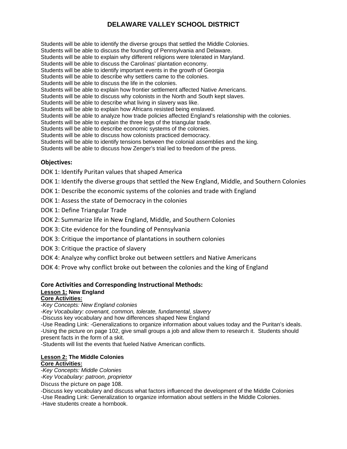Students will be able to identify the diverse groups that settled the Middle Colonies. Students will be able to discuss the founding of Pennsylvania and Delaware. Students will be able to explain why different religions were tolerated in Maryland. Students will be able to discuss the Carolinas' plantation economy. Students will be able to identify important events in the growth of Georgia Students will be able to describe why settlers came to the colonies. Students will be able to discuss the life in the colonies. Students will be able to explain how frontier settlement affected Native Americans. Students will be able to discuss why colonists in the North and South kept slaves. Students will be able to describe what living in slavery was like. Students will be able to explain how Africans resisted being enslaved. Students will be able to analyze how trade policies affected England's relationship with the colonies. Students will be able to explain the three legs of the triangular trade. Students will be able to describe economic systems of the colonies. Students will be able to discuss how colonists practiced democracy. Students will be able to identify tensions between the colonial assemblies and the king. Students will be able to discuss how Zenger's trial led to freedom of the press.

#### **Objectives:**

DOK 1: Identify Puritan values that shaped America

DOK 1: Identify the diverse groups that settled the New England, Middle, and Southern Colonies

DOK 1: Describe the economic systems of the colonies and trade with England

DOK 1: Assess the state of Democracy in the colonies

DOK 1: Define Triangular Trade

DOK 2: Summarize life in New England, Middle, and Southern Colonies

DOK 3: Cite evidence for the founding of Pennsylvania

- DOK 3: Critique the importance of plantations in southern colonies
- DOK 3: Critique the practice of slavery
- DOK 4: Analyze why conflict broke out between settlers and Native Americans

DOK 4: Prove why conflict broke out between the colonies and the king of England

#### **Core Activities and Corresponding Instructional Methods:**

#### **Lesson 1: New England**

#### **Core Activities:**

*-Key Concepts: New England colonies* 

*-Key Vocabulary: covenant, common, tolerate, fundamental, slavery* 

-Discuss key vocabulary and how differences shaped New England

-Use Reading Link: -Generalizations to organize information about values today and the Puritan's ideals. -Using the picture on page 102, give small groups a job and allow them to research it. Students should present facts in the form of a skit.

-Students will list the events that fueled Native American conflicts.

#### **Lesson 2: The Middle Colonies Core Activities:**

*-Key Concepts: Middle Colonies* 

*-Key Vocabulary: patroon, proprietor* 

Discuss the picture on page 108.

-Discuss key vocabulary and discuss what factors influenced the development of the Middle Colonies

-Use Reading Link: Generalization to organize information about settlers in the Middle Colonies.

-Have students create a hornbook.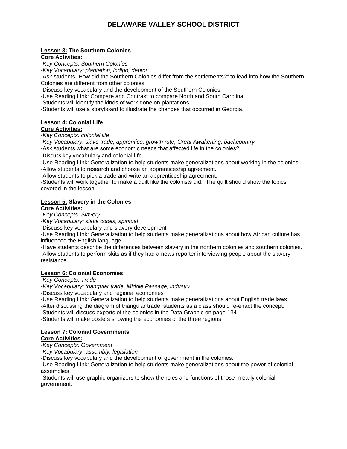#### **Lesson 3: The Southern Colonies Core Activities:**

*-Key Concepts: Southern Colonies* 

*-Key Vocabulary: plantation, indigo, debtor*

-Ask students "How did the Southern Colonies differ from the settlements?" to lead into how the Southern Colonies are different from other colonies.

-Discuss key vocabulary and the development of the Southern Colonies.

-Use Reading Link: Compare and Contrast to compare North and South Carolina.

-Students will identify the kinds of work done on plantations.

-Students will use a storyboard to illustrate the changes that occurred in Georgia.

#### **Lesson 4: Colonial Life**

#### **Core Activities:**

*-Key Concepts: colonial life* 

*-Key Vocabulary: slave trade, apprentice, growth rate, Great Awakening, backcountry*

-Ask students what are some economic needs that affected life in the colonies?

‐Discuss key vocabulary and colonial life.

-Use Reading Link: Generalization to help students make generalizations about working in the colonies.

-Allow students to research and choose an apprenticeship agreement.

-Allow students to pick a trade and write an apprenticeship agreement.

-Students will work together to make a quilt like the colonists did. The quilt should show the topics covered in the lesson.

# **Lesson 5: Slavery in the Colonies**

# **Core Activities:**

*-Key Concepts: Slavery* 

*-Key Vocabulary: slave codes, spiritual* 

-Discuss key vocabulary and slavery development

-Use Reading Link: Generalization to help students make generalizations about how African culture has influenced the English language.

-Have students describe the differences between slavery in the northern colonies and southern colonies. -Allow students to perform skits as if they had a news reporter interviewing people about the slavery resistance.

#### **Lesson 6: Colonial Economies**

#### *-Key Concepts: Trade*

*-Key Vocabulary: triangular trade, Middle Passage, industry* 

-Discuss key vocabulary and regional economies

-Use Reading Link: Generalization to help students make generalizations about English trade laws.

-After discussing the diagram of triangular trade, students as a class should re-enact the concept.

-Students will discuss exports of the colonies in the Data Graphic on page 134.

-Students will make posters showing the economies of the three regions

### **Lesson 7: Colonial Governments**

### **Core Activities:**

*-Key Concepts: Government* 

*-Key Vocabulary: assembly, legislation* 

-Discuss key vocabulary and the development of government in the colonies.

-Use Reading Link: Generalization to help students make generalizations about the power of colonial assemblies

-Students will use graphic organizers to show the roles and functions of those in early colonial government.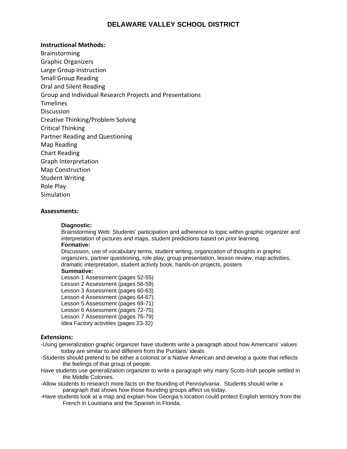#### **Instructional Methods:**

Brainstorming Graphic Organizers Large Group Instruction Small Group Reading Oral and Silent Reading Group and Individual Research Projects and Presentations **Timelines Discussion** Creative Thinking/Problem Solving Critical Thinking Partner Reading and Questioning Map Reading Chart Reading Graph Interpretation Map Construction Student Writing Role Play **Simulation** 

#### **Assessments:**

#### **Diagnostic:**

Brainstorming Web: Students' participation and adherence to topic within graphic organizer and interpretation of pictures and maps, student predictions based on prior learning **Formative:** 

Discussion, use of vocabulary terms, student writing, organization of thoughts in graphic organizers, partner questioning, role play, group presentation, lesson review, map activities, dramatic interpretation, student activity book, hands-on projects, posters

#### **Summative:**

Lesson 1 Assessment (pages 52-55)

- Lesson 2 Assessment (pages 56-59)
- Lesson 3 Assessment (pages 60-63)
- Lesson 4 Assessment (pages 64-67)
- Lesson 5 Assessment (pages 68-71)
- Lesson 6 Assessment (pages 72-75)
- Lesson 7 Assessment (pages 76-79)
- Idea Factory activities (pages 23-32)

#### **Extensions:**

- -Using generalization graphic organizer have students write a paragraph about how Americans' values today are similar to and different from the Puritans' ideals
- -Students should pretend to be either a colonist or a Native American and develop a quote that reflects the feelings of that group of people.
- Have students use generalization organizer to write a paragraph why many Scots-Irish people settled in the Middle Colonies.
- -Allow students to research more facts on the founding of Pennsylvania. Students should write a paragraph that shows how those founding groups affect us today.
- -Have students look at a map and explain how Georgia's location could protect English territory from the French in Louisiana and the Spanish in Florida.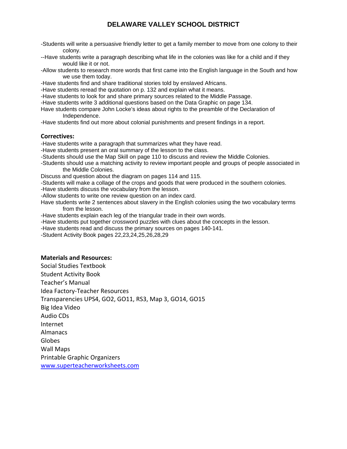- -Students will write a persuasive friendly letter to get a family member to move from one colony to their colony.
- --Have students write a paragraph describing what life in the colonies was like for a child and if they would like it or not.
- -Allow students to research more words that first came into the English language in the South and how we use them today.
- -Have students find and share traditional stories told by enslaved Africans.
- -Have students reread the quotation on p. 132 and explain what it means.
- -Have students to look for and share primary sources related to the Middle Passage.
- -Have students write 3 additional questions based on the Data Graphic on page 134.
- Have students compare John Locke's ideas about rights to the preamble of the Declaration of Independence.
- -Have students find out more about colonial punishments and present findings in a report.

#### **Correctives:**

- -Have students write a paragraph that summarizes what they have read.
- -Have students present an oral summary of the lesson to the class.
- -Students should use the Map Skill on page 110 to discuss and review the Middle Colonies.
- -Students should use a matching activity to review important people and groups of people associated in the Middle Colonies.
- Discuss and question about the diagram on pages 114 and 115.
- -Students will make a collage of the crops and goods that were produced in the southern colonies.
- -Have students discuss the vocabulary from the lesson.
- -Allow students to write one review question on an index card.
- Have students write 2 sentences about slavery in the English colonies using the two vocabulary terms from the lesson.
- -Have students explain each leg of the triangular trade in their own words.
- -Have students put together crossword puzzles with clues about the concepts in the lesson.
- -Have students read and discuss the primary sources on pages 140-141.
- -Student Activity Book pages 22,23,24,25,26,28,29

#### **Materials and Resources:**

Social Studies Textbook Student Activity Book Teacher's Manual Idea Factory‐Teacher Resources Transparencies UPS4, GO2, GO11, RS3, Map 3, GO14, GO15 Big Idea Video Audio CDs Internet Almanacs Globes Wall Maps Printable Graphic Organizers www.superteacherworksheets.com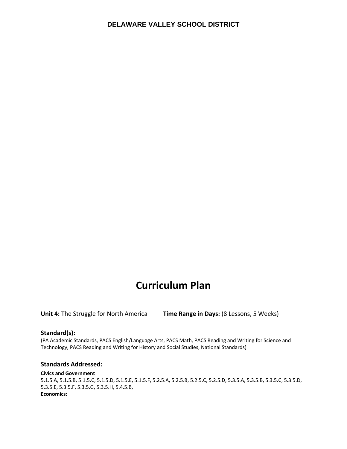# **Curriculum Plan**

**Unit 4:** The Struggle for North America **Time Range in Days:** (8 Lessons, 5 Weeks)

#### **Standard(s):**

(PA Academic Standards, PACS English/Language Arts, PACS Math, PACS Reading and Writing for Science and Technology, PACS Reading and Writing for History and Social Studies, National Standards)

#### **Standards Addressed:**

#### **Civics and Government**

5.1.5.A, 5.1.5.B, 5.1.5.C, 5.1.5.D, 5.1.5.E, 5.1.5.F, 5.2.5.A, 5.2.5.B, 5.2.5.C, 5.2.5.D, 5.3.5.A, 5.3.5.B, 5.3.5.C, 5.3.5.D, 5.3.5.E, 5.3.5.F, 5.3.5.G, 5.3.5.H, 5.4.5.B, **Economics:**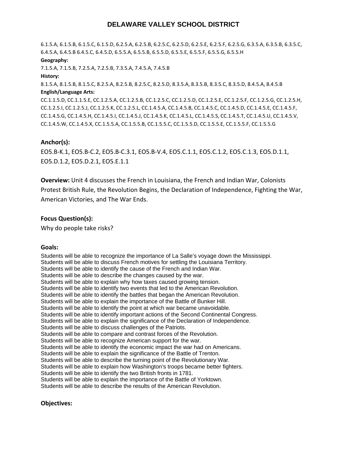6.1.5.A, 6.1.5.B, 6.1.5.C, 6.1.5.D, 6.2.5.A, 6.2.5.B, 6.2.5.C, 6.2.5.D, 6.2.5.E, 6.2.5.F, 6.2.5.G, 6.3.5.A, 6.3.5.B, 6.3.5.C, 6.4.5.A, 6.4.5.B 6.4.5.C, 6.4.5.D, 6.5.5.A, 6.5.5.B, 6.5.5.D, 6.5.5.E, 6.5.5.F, 6.5.5.G, 6.5.5.H

#### **Geography:**

7.1.5.A, 7.1.5.B, 7.2.5.A, 7.2.5.B, 7.3.5.A, 7.4.5.A, 7.4.5.B

#### **History:**

8.1.5.A, 8.1.5.B, 8.1.5.C, 8.2.5.A, 8.2.5.B, 8.2.5.C, 8.2.5.D, 8.3.5.A, 8.3.5.B, 8.3.5.C, 8.3.5.D, 8.4.5.A, 8.4.5.B **English/Language Arts:**

CC.1.1.5.D, CC.1.1.5.E, CC.1.2.5.A, CC.1.2.5.B, CC.1.2.5.C, CC.1.2.5.D, CC.1.2.5.E, CC.1.2.5.F, CC.1.2.5.G, CC.1.2.5.H, CC.1.2.5.I, CC.1.2.5.J, CC.1.2.5.K, CC.1.2.5.L, CC.1.4.5.A, CC.1.4.5.B, CC.1.4.5.C, CC.1.4.5.D, CC.1.4.5.E, CC.1.4.5.F, CC.1.4.5.G, CC.1.4.5.H, CC.1.4.5.I, CC.1.4.5.J, CC.1.4.5.K, CC.1.4.5.L, CC.1.4.5.S, CC.1.4.5.T, CC.1.4.5.U, CC.1.4.5.V, CC.1.4.5.W, CC.1.4.5.X, CC.1.5.5.A, CC.1.5.5.B, CC.1.5.5.C, CC.1.5.5.D, CC.1.5.5.E, CC.1.5.5.F, CC.1.5.5.G

#### **Anchor(s):**

EO5.B‐K.1, EO5.B‐C.2, EO5.B‐C.3.1, EO5.B‐V.4, EO5.C.1.1, EO5.C.1.2, EO5.C.1.3, EO5.D.1.1, EO5.D.1.2, EO5.D.2.1, EO5.E.1.1

**Overview:** Unit 4 discusses the French in Louisiana, the French and Indian War, Colonists Protest British Rule, the Revolution Begins, the Declaration of Independence, Fighting the War, American Victories, and The War Ends.

#### **Focus Question(s):**

Why do people take risks?

#### **Goals:**

Students will be able to recognize the importance of La Salle's voyage down the Mississippi. Students will be able to discuss French motives for settling the Louisiana Territory. Students will be able to identify the cause of the French and Indian War. Students will be able to describe the changes caused by the war. Students will be able to explain why how taxes caused growing tension. Students will be able to identify two events that led to the American Revolution. Students will be able to identify the battles that began the American Revolution. Students will be able to explain the importance of the Battle of Bunker Hill. Students will be able to identify the point at which war became unavoidable. Students will be able to identify important actions of the Second Continental Congress. Students will be able to explain the significance of the Declaration of Independence. Students will be able to discuss challenges of the Patriots. Students will be able to compare and contrast forces of the Revolution. Students will be able to recognize American support for the war. Students will be able to identify the economic impact the war had on Americans. Students will be able to explain the significance of the Battle of Trenton. Students will be able to describe the turning point of the Revolutionary War. Students will be able to explain how Washington's troops became better fighters. Students will be able to identify the two British fronts in 1781. Students will be able to explain the importance of the Battle of Yorktown. Students will be able to describe the results of the American Revolution.

#### **Objectives:**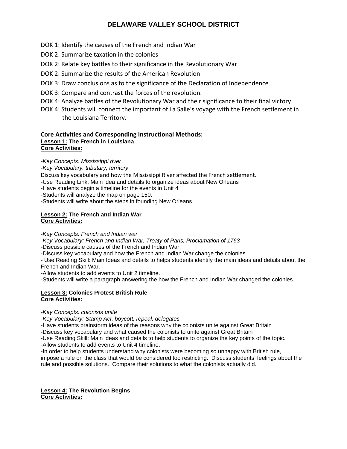- DOK 1: Identify the causes of the French and Indian War
- DOK 2: Summarize taxation in the colonies
- DOK 2: Relate key battles to their significance in the Revolutionary War
- DOK 2: Summarize the results of the American Revolution
- DOK 3: Draw conclusions as to the significance of the Declaration of Independence
- DOK 3: Compare and contrast the forces of the revolution.
- DOK 4: Analyze battles of the Revolutionary War and their significance to their final victory
- DOK 4: Students will connect the important of La Salle's voyage with the French settlement in the Louisiana Territory.

#### **Core Activities and Corresponding Instructional Methods: Lesson 1: The French in Louisiana Core Activities:**

*-Key Concepts: Mississippi river* 

*-Key Vocabulary: tributary, territory* 

Discuss key vocabulary and how the Mississippi River affected the French settlement.

-Use Reading Link: Main idea and details to organize ideas about New Orleans

-Have students begin a timeline for the events in Unit 4

-Students will analyze the map on page 150.

-Students will write about the steps in founding New Orleans.

#### **Lesson 2: The French and Indian War Core Activities:**

*-Key Concepts: French and Indian war* 

*-Key Vocabulary: French and Indian War, Treaty of Paris, Proclamation of 1763* 

-Discuss possible causes of the French and Indian War.

-Discuss key vocabulary and how the French and Indian War change the colonies

- Use Reading Skill: Main Ideas and details to helps students identify the main ideas and details about the French and Indian War.

-Allow students to add events to Unit 2 timeline.

-Students will write a paragraph answering the how the French and Indian War changed the colonies.

#### **Lesson 3: Colonies Protest British Rule Core Activities:**

*-Key Concepts: colonists unite* 

*-Key Vocabulary: Stamp Act, boycott, repeal, delegates* 

-Have students brainstorm ideas of the reasons why the colonists unite against Great Britain

-Discuss key vocabulary and what caused the colonists to unite against Great Britain

-Use Reading Skill: Main ideas and details to help students to organize the key points of the topic.

-Allow students to add events to Unit 4 timeline.

-In order to help students understand why colonists were becoming so unhappy with British rule,

impose a rule on the class that would be considered too restricting. Discuss students' feelings about the rule and possible solutions. Compare their solutions to what the colonists actually did.

#### **Lesson 4: The Revolution Begins Core Activities:**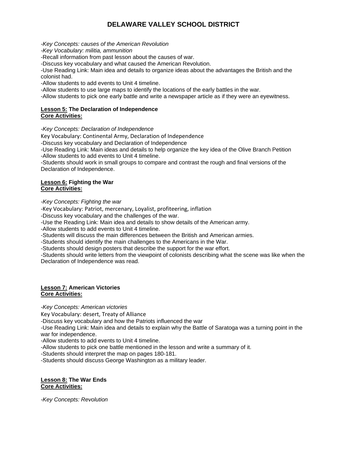*-Key Concepts: causes of the American Revolution* 

*-Key Vocabulary: militia, ammunition*

-Recall information from past lesson about the causes of war.

-Discuss key vocabulary and what caused the American Revolution.

-Use Reading Link: Main idea and details to organize ideas about the advantages the British and the colonist had.

-Allow students to add events to Unit 4 timeline.

-Allow students to use large maps to identify the locations of the early battles in the war.

-Allow students to pick one early battle and write a newspaper article as if they were an eyewitness.

#### **Lesson 5: The Declaration of Independence Core Activities:**

#### *-Key Concepts: Declaration of Independence*

Key Vocabulary: Continental Army, Declaration of Independence

-Discuss key vocabulary and Declaration of Independence

-Use Reading Link: Main ideas and details to help organize the key idea of the Olive Branch Petition -Allow students to add events to Unit 4 timeline.

-Students should work in small groups to compare and contrast the rough and final versions of the Declaration of Independence.

#### **Lesson 6: Fighting the War Core Activities:**

*-Key Concepts: Fighting the war* 

*-*Key Vocabulary: Patriot, mercenary, Loyalist, profiteering, inflation

-Discuss key vocabulary and the challenges of the war.

-Use the Reading Link: Main idea and details to show details of the American army.

-Allow students to add events to Unit 4 timeline.

-Students will discuss the main differences between the British and American armies.

-Students should identify the main challenges to the Americans in the War.

-Students should design posters that describe the support for the war effort.

-Students should write letters from the viewpoint of colonists describing what the scene was like when the Declaration of Independence was read.

#### **Lesson 7: American Victories Core Activities:**

*-Key Concepts: American victories* 

Key Vocabulary: desert, Treaty of Alliance

-Discuss key vocabulary and how the Patriots influenced the war

-Use Reading Link: Main idea and details to explain why the Battle of Saratoga was a turning point in the war for independence.

-Allow students to add events to Unit 4 timeline.

-Allow students to pick one battle mentioned in the lesson and write a summary of it.

-Students should interpret the map on pages 180-181.

-Students should discuss George Washington as a military leader.

#### **Lesson 8: The War Ends Core Activities:**

*-Key Concepts: Revolution*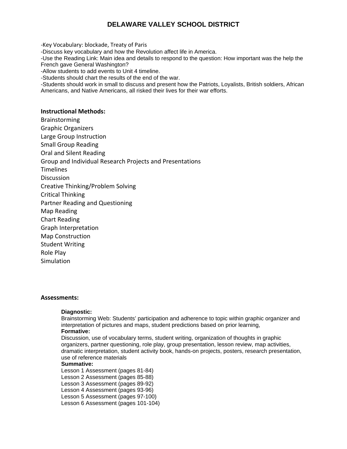*-*Key Vocabulary: blockade, Treaty of Paris -Discuss key vocabulary and how the Revolution affect life in America. -Use the Reading Link: Main idea and details to respond to the question: How important was the help the French gave General Washington? -Allow students to add events to Unit 4 timeline. -Students should chart the results of the end of the war. -Students should work in small to discuss and present how the Patriots, Loyalists, British soldiers, African Americans, and Native Americans, all risked their lives for their war efforts. **Instructional Methods:** Brainstorming Graphic Organizers Large Group Instruction

Small Group Reading

Oral and Silent Reading

Group and Individual Research Projects and Presentations

**Timelines** 

**Discussion** 

Creative Thinking/Problem Solving

Critical Thinking

Partner Reading and Questioning

Map Reading

Chart Reading

Graph Interpretation

Map Construction

Student Writing

Role Play

Simulation

#### **Assessments:**

#### **Diagnostic:**

Brainstorming Web: Students' participation and adherence to topic within graphic organizer and interpretation of pictures and maps, student predictions based on prior learning, **Formative:** 

Discussion, use of vocabulary terms, student writing, organization of thoughts in graphic organizers, partner questioning, role play, group presentation, lesson review, map activities, dramatic interpretation, student activity book, hands-on projects, posters, research presentation, use of reference materials

#### **Summative:**

Lesson 1 Assessment (pages 81-84) Lesson 2 Assessment (pages 85-88) Lesson 3 Assessment (pages 89-92) Lesson 4 Assessment (pages 93-96) Lesson 5 Assessment (pages 97-100) Lesson 6 Assessment (pages 101-104)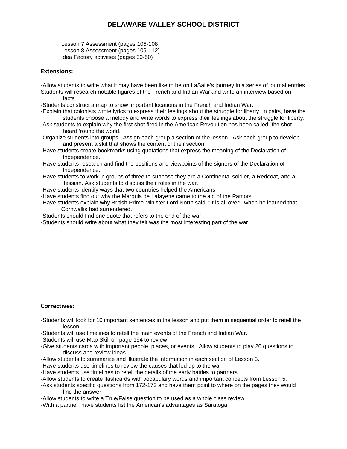Lesson 7 Assessment (pages 105-108 Lesson 8 Assessment (pages 109-112) Idea Factory activities (pages 30-50)

#### **Extensions:**

-Allow students to write what it may have been like to be on LaSalle's journey in a series of journal entries Students will research notable figures of the French and Indian War and write an interview based on facts.

-Students construct a map to show important locations in the French and Indian War.

- -Explain that colonists wrote lyrics to express their feelings about the struggle for liberty. In pairs, have the students choose a melody and write words to express their feelings about the struggle for liberty.
- -Ask students to explain why the first shot fired in the American Revolution has been called "the shot heard 'round the world."
- -Organize students into groups. Assign each group a section of the lesson. Ask each group to develop and present a skit that shows the content of their section.
- -Have students create bookmarks using quotations that express the meaning of the Declaration of Independence.
- -Have students research and find the positions and viewpoints of the signers of the Declaration of Independence.
- -Have students to work in groups of three to suppose they are a Continental soldier, a Redcoat, and a Hessian. Ask students to discuss their roles in the war.
- -Have students identify ways that two countries helped the Americans.
- -Have students find out why the Marquis de Lafayette came to the aid of the Patriots.
- -Have students explain why British Prime Minister Lord North said, "It is all over!" when he learned that Cornwallis had surrendered.
- -Students should find one quote that refers to the end of the war.
- -Students should write about what they felt was the most interesting part of the war.

#### **Correctives:**

- -Students will look for 10 important sentences in the lesson and put them in sequential order to retell the lesson..
- -Students will use timelines to retell the main events of the French and Indian War.
- -Students will use Map Skill on page 154 to review.
- -Give students cards with important people, places, or events. Allow students to play 20 questions to discuss and review ideas.
- -Allow students to summarize and illustrate the information in each section of Lesson 3.
- -Have students use timelines to review the causes that led up to the war.
- -Have students use timelines to retell the details of the early battles to partners.
- -Allow students to create flashcards with vocabulary words and important concepts from Lesson 5.
- -Ask students specific questions from 172-173 and have them point to where on the pages they would find the answer.
- -Allow students to write a True/False question to be used as a whole class review.
- -With a partner, have students list the American's advantages as Saratoga.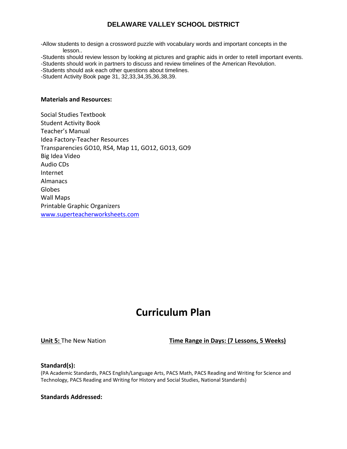-Allow students to design a crossword puzzle with vocabulary words and important concepts in the lesson..

-Students should review lesson by looking at pictures and graphic aids in order to retell important events. -Students should work in partners to discuss and review timelines of the American Revolution.

-Students should ask each other questions about timelines.

-Student Activity Book page 31, 32,33,34,35,36,38,39.

#### **Materials and Resources:**

Social Studies Textbook Student Activity Book Teacher's Manual Idea Factory‐Teacher Resources Transparencies GO10, RS4, Map 11, GO12, GO13, GO9 Big Idea Video Audio CDs Internet Almanacs Globes Wall Maps Printable Graphic Organizers www.superteacherworksheets.com

# **Curriculum Plan**

**Unit 5:** The New Nation **Time Range in Days: (7 Lessons, 5 Weeks)**

#### **Standard(s):**

(PA Academic Standards, PACS English/Language Arts, PACS Math, PACS Reading and Writing for Science and Technology, PACS Reading and Writing for History and Social Studies, National Standards)

**Standards Addressed:**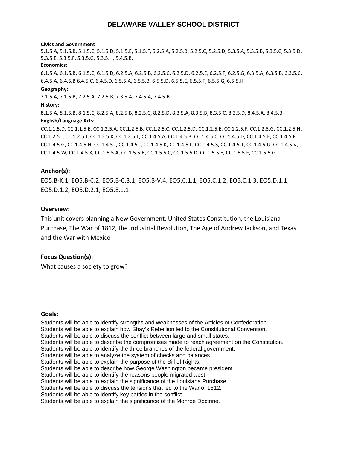#### **Civics and Government**

5.1.5.A, 5.1.5.B, 5.1.5.C, 5.1.5.D, 5.1.5.E, 5.1.5.F, 5.2.5.A, 5.2.5.B, 5.2.5.C, 5.2.5.D, 5.3.5.A, 5.3.5.B, 5.3.5.C, 5.3.5.D, 5.3.5.E, 5.3.5.F, 5.3.5.G, 5.3.5.H, 5.4.5.B,

#### **Economics:**

6.1.5.A, 6.1.5.B, 6.1.5.C, 6.1.5.D, 6.2.5.A, 6.2.5.B, 6.2.5.C, 6.2.5.D, 6.2.5.E, 6.2.5.F, 6.2.5.G, 6.3.5.A, 6.3.5.B, 6.3.5.C, 6.4.5.A, 6.4.5.B 6.4.5.C, 6.4.5.D, 6.5.5.A, 6.5.5.B, 6.5.5.D, 6.5.5.E, 6.5.5.F, 6.5.5.G, 6.5.5.H

#### **Geography:**

7.1.5.A, 7.1.5.B, 7.2.5.A, 7.2.5.B, 7.3.5.A, 7.4.5.A, 7.4.5.B

#### **History:**

8.1.5.A, 8.1.5.B, 8.1.5.C, 8.2.5.A, 8.2.5.B, 8.2.5.C, 8.2.5.D, 8.3.5.A, 8.3.5.B, 8.3.5.C, 8.3.5.D, 8.4.5.A, 8.4.5.B **English/Language Arts:**

CC.1.1.5.D, CC.1.1.5.E, CC.1.2.5.A, CC.1.2.5.B, CC.1.2.5.C, CC.1.2.5.D, CC.1.2.5.E, CC.1.2.5.F, CC.1.2.5.G, CC.1.2.5.H, CC.1.2.5.I, CC.1.2.5.J, CC.1.2.5.K, CC.1.2.5.L, CC.1.4.5.A, CC.1.4.5.B, CC.1.4.5.C, CC.1.4.5.D, CC.1.4.5.E, CC.1.4.5.F, CC.1.4.5.G, CC.1.4.5.H, CC.1.4.5.I, CC.1.4.5.J, CC.1.4.5.K, CC.1.4.5.L, CC.1.4.5.S, CC.1.4.5.T, CC.1.4.5.U, CC.1.4.5.V, CC.1.4.5.W, CC.1.4.5.X, CC.1.5.5.A, CC.1.5.5.B, CC.1.5.5.C, CC.1.5.5.D, CC.1.5.5.E, CC.1.5.5.F, CC.1.5.5.G

#### **Anchor(s):**

EO5.B‐K.1, EO5.B‐C.2, EO5.B‐C.3.1, EO5.B‐V.4, EO5.C.1.1, EO5.C.1.2, EO5.C.1.3, EO5.D.1.1, EO5.D.1.2, EO5.D.2.1, EO5.E.1.1

#### **Overview:**

This unit covers planning a New Government, United States Constitution, the Louisiana Purchase, The War of 1812, the Industrial Revolution, The Age of Andrew Jackson, and Texas and the War with Mexico

#### **Focus Question(s):**

What causes a society to grow?

#### **Goals:**

Students will be able to identify strengths and weaknesses of the Articles of Confederation. Students will be able to explain how Shay's Rebellion led to the Constitutional Convention. Students will be able to discuss the conflict between large and small states. Students will be able to describe the compromises made to reach agreement on the Constitution. Students will be able to identify the three branches of the federal government. Students will be able to analyze the system of checks and balances. Students will be able to explain the purpose of the Bill of Rights. Students will be able to describe how George Washington became president. Students will be able to identify the reasons people migrated west. Students will be able to explain the significance of the Louisiana Purchase. Students will be able to discuss the tensions that led to the War of 1812. Students will be able to identify key battles in the conflict. Students will be able to explain the significance of the Monroe Doctrine.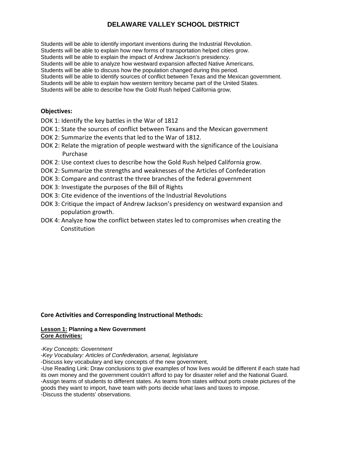Students will be able to identify important inventions during the Industrial Revolution. Students will be able to explain how new forms of transportation helped cities grow. Students will be able to explain the impact of Andrew Jackson's presidency. Students will be able to analyze how westward expansion affected Native Americans. Students will be able to discuss how the population changed during this period. Students will be able to identify sources of conflict between Texas and the Mexican government. Students will be able to explain how western territory became part of the United States. Students will be able to describe how the Gold Rush helped California grow,

#### **Objectives:**

- DOK 1: Identify the key battles in the War of 1812
- DOK 1: State the sources of conflict between Texans and the Mexican government
- DOK 2: Summarize the events that led to the War of 1812.
- DOK 2: Relate the migration of people westward with the significance of the Louisiana Purchase
- DOK 2: Use context clues to describe how the Gold Rush helped California grow.
- DOK 2: Summarize the strengths and weaknesses of the Articles of Confederation
- DOK 3: Compare and contrast the three branches of the federal government
- DOK 3: Investigate the purposes of the Bill of Rights
- DOK 3: Cite evidence of the inventions of the Industrial Revolutions
- DOK 3: Critique the impact of Andrew Jackson's presidency on westward expansion and population growth.
- DOK 4: Analyze how the conflict between states led to compromises when creating the Constitution

#### **Core Activities and Corresponding Instructional Methods:**

#### **Lesson 1: Planning a New Government Core Activities:**

*-Key Concepts: Government* 

*-Key Vocabulary: Articles of Confederation, arsenal, legislature* 

-Discuss key vocabulary and key concepts of the new government,

-Use Reading Link: Draw conclusions to give examples of how lives would be different if each state had its own money and the government couldn't afford to pay for disaster relief and the National Guard. -Assign teams of students to different states. As teams from states without ports create pictures of the goods they want to import, have team with ports decide what laws and taxes to impose. -Discuss the students' observations.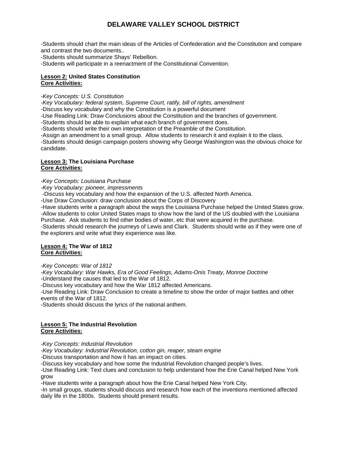-Students should chart the main ideas of the Articles of Confederation and the Constitution and compare and contrast the two documents..

-Students should summarize Shays' Rebellion.

-Students will participate in a reenactment of the Constitutional Convention.

#### **Lesson 2: United States Constitution Core Activities:**

*-Key Concepts: U.S. Constitution* 

*-Key Vocabulary: federal system, Supreme Court, ratify, bill of rights, amendment* 

-Discuss key vocabulary and why the Constitution is a powerful document

-Use Reading Link: Draw Conclusions about the Constitution and the branches of government.

-Students should be able to explain what each branch of government does.

-Students should write their own interpretation of the Preamble of the Constitution.

-Assign an amendment to a small group. Allow students to research it and explain it to the class.

-Students should design campaign posters showing why George Washington was the obvious choice for candidate.

#### **Lesson 3: The Louisiana Purchase Core Activities:**

*-Key Concepts: Louisiana Purchase* 

*-Key Vocabulary: pioneer, impressments*

-Discuss key vocabulary and how the expansion of the U.S. affected North America.

-Use Draw Conclusion: draw conclusion about the Corps of Discovery

-Have students write a paragraph about the ways the Louisiana Purchase helped the United States grow. -Allow students to color United States maps to show how the land of the US doubled with the Louisiana

Purchase. Ask students to find other bodies of water, etc that were acquired in the purchase.

-Students should research the journeys of Lewis and Clark. Students should write as if they were one of the explorers and write what they experience was like.

#### **Lesson 4: The War of 1812 Core Activities:**

*-Key Concepts: War of 1812* 

*-Key Vocabulary: War Hawks, Era of Good Feelings, Adams-Onis Treaty, Monroe Doctrine*  -Understand the causes that led to the War of 1812.

-Discuss key vocabulary and how the War 1812 affected Americans.

-Use Reading Link: Draw Conclusion to create a timeline to show the order of major battles and other events of the War of 1812.

-Students should discuss the lyrics of the national anthem.

#### **Lesson 5: The Industrial Revolution Core Activities:**

*-Key Concepts: Industrial Revolution* 

*-Key Vocabulary: Industrial Revolution, cotton gin, reaper, steam engine*

-Discuss transportation and how it has an impact on cities.

-Discuss key vocabulary and how some the Industrial Revolution changed people's lives.

-Use Reading Link: Text clues and conclusion to help understand how the Erie Canal helped New York grow

-Have students write a paragraph about how the Erie Canal helped New York City.

-In small groups, students should discuss and research how each of the inventions mentioned affected daily life in the 1800s. Students should present results.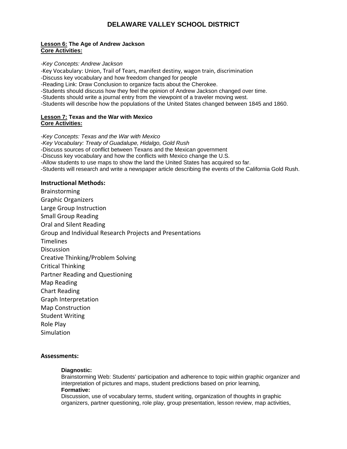#### **Lesson 6: The Age of Andrew Jackson Core Activities:**

#### *-Key Concepts: Andrew Jackson*

*-*Key Vocabulary: Union, Trail of Tears, manifest destiny, wagon train, discrimination

-Discuss key vocabulary and how freedom changed for people

-Reading Link: Draw Conclusion to organize facts about the Cherokee.

-Students should discuss how they feel the opinion of Andrew Jackson changed over time.

-Students should write a journal entry from the viewpoint of a traveler moving west.

-Students will describe how the populations of the United States changed between 1845 and 1860.

#### **Lesson 7: Texas and the War with Mexico Core Activities:**

*-Key Concepts: Texas and the War with Mexico -Key Vocabulary: Treaty of Guadalupe, Hidalgo, Gold Rush*  -Discuss sources of conflict between Texans and the Mexican government -Discuss key vocabulary and how the conflicts with Mexico change the U.S. -Allow students to use maps to show the land the United States has acquired so far. -Students will research and write a newspaper article describing the events of the California Gold Rush.

#### **Instructional Methods:**

Brainstorming Graphic Organizers Large Group Instruction Small Group Reading Oral and Silent Reading Group and Individual Research Projects and Presentations **Timelines Discussion** Creative Thinking/Problem Solving Critical Thinking Partner Reading and Questioning Map Reading Chart Reading Graph Interpretation Map Construction Student Writing Role Play Simulation

#### **Assessments:**

#### **Diagnostic:**

Brainstorming Web: Students' participation and adherence to topic within graphic organizer and interpretation of pictures and maps, student predictions based on prior learning, **Formative:** 

Discussion, use of vocabulary terms, student writing, organization of thoughts in graphic organizers, partner questioning, role play, group presentation, lesson review, map activities,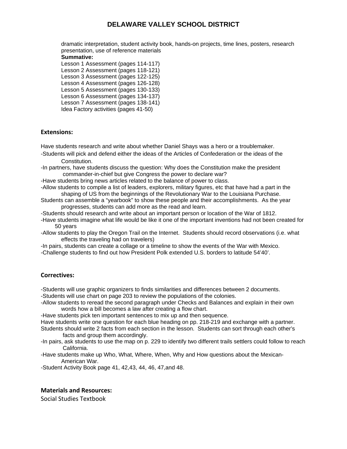dramatic interpretation, student activity book, hands-on projects, time lines, posters, research presentation, use of reference materials

#### **Summative:**

Lesson 1 Assessment (pages 114-117) Lesson 2 Assessment (pages 118-121) Lesson 3 Assessment (pages 122-125) Lesson 4 Assessment (pages 126-128) Lesson 5 Assessment (pages 130-133) Lesson 6 Assessment (pages 134-137) Lesson 7 Assessment (pages 138-141)

Idea Factory activities (pages 41-50)

#### **Extensions:**

Have students research and write about whether Daniel Shays was a hero or a troublemaker.

- -Students will pick and defend either the ideas of the Articles of Confederation or the ideas of the Constitution.
- -In partners, have students discuss the question: Why does the Constitution make the president commander-in-chief but give Congress the power to declare war?
- -Have students bring news articles related to the balance of power to class.
- -Allow students to compile a list of leaders, explorers, military figures, etc that have had a part in the shaping of US from the beginnings of the Revolutionary War to the Louisiana Purchase.
- Students can assemble a "yearbook" to show these people and their accomplishments. As the year progresses, students can add more as the read and learn.
- -Students should research and write about an important person or location of the War of 1812.
- -Have students imagine what life would be like it one of the important inventions had not been created for 50 years
- -Allow students to play the Oregon Trail on the Internet. Students should record observations (i.e. what effects the traveling had on travelers)
- -In pairs, students can create a collage or a timeline to show the events of the War with Mexico.
- -Challenge students to find out how President Polk extended U.S. borders to latitude 54'40'.

#### **Correctives:**

-Students will use graphic organizers to finds similarities and differences between 2 documents.

- -Students will use chart on page 203 to review the populations of the colonies.
- -Allow students to reread the second paragraph under Checks and Balances and explain in their own words how a bill becomes a law after creating a flow chart.
- -Have students pick ten important sentences to mix up and then sequence.
- Have students write one question for each blue heading on pp. 218-219 and exchange with a partner. Students should write 2 facts from each section in the lesson. Students can sort through each other's

facts and group them accordingly.

- -In pairs, ask students to use the map on p. 229 to identify two different trails settlers could follow to reach California.
- -Have students make up Who, What, Where, When, Why and How questions about the Mexican- American War.
- -Student Activity Book page 41, 42,43, 44, 46, 47,and 48.

#### **Materials and Resources:**

Social Studies Textbook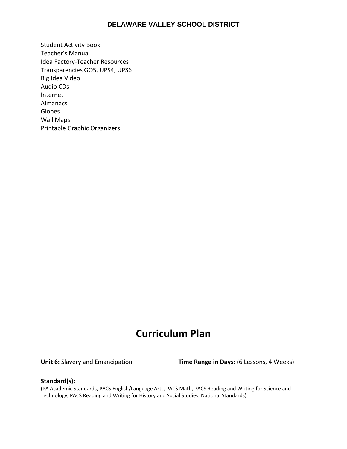Student Activity Book Teacher's Manual Idea Factory‐Teacher Resources Transparencies GO5, UPS4, UPS6 Big Idea Video Audio CDs Internet Almanacs Globes Wall Maps Printable Graphic Organizers

# **Curriculum Plan**

**Unit 6:** Slavery and Emancipation **Time Range in Days:** (6 Lessons, 4 Weeks)

#### **Standard(s):**

(PA Academic Standards, PACS English/Language Arts, PACS Math, PACS Reading and Writing for Science and Technology, PACS Reading and Writing for History and Social Studies, National Standards)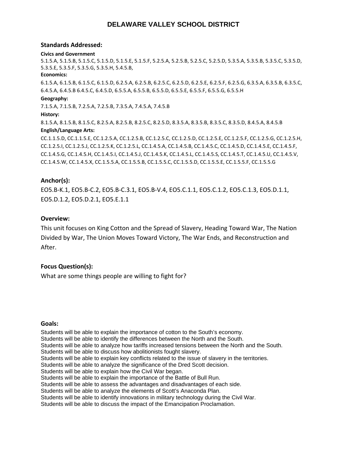#### **Standards Addressed:**

#### **Civics and Government**

5.1.5.A, 5.1.5.B, 5.1.5.C, 5.1.5.D, 5.1.5.E, 5.1.5.F, 5.2.5.A, 5.2.5.B, 5.2.5.C, 5.2.5.D, 5.3.5.A, 5.3.5.B, 5.3.5.C, 5.3.5.D, 5.3.5.E, 5.3.5.F, 5.3.5.G, 5.3.5.H, 5.4.5.B,

#### **Economics:**

6.1.5.A, 6.1.5.B, 6.1.5.C, 6.1.5.D, 6.2.5.A, 6.2.5.B, 6.2.5.C, 6.2.5.D, 6.2.5.E, 6.2.5.F, 6.2.5.G, 6.3.5.A, 6.3.5.B, 6.3.5.C, 6.4.5.A, 6.4.5.B 6.4.5.C, 6.4.5.D, 6.5.5.A, 6.5.5.B, 6.5.5.D, 6.5.5.E, 6.5.5.F, 6.5.5.G, 6.5.5.H

#### **Geography:**

7.1.5.A, 7.1.5.B, 7.2.5.A, 7.2.5.B, 7.3.5.A, 7.4.5.A, 7.4.5.B

#### **History:**

8.1.5.A, 8.1.5.B, 8.1.5.C, 8.2.5.A, 8.2.5.B, 8.2.5.C, 8.2.5.D, 8.3.5.A, 8.3.5.B, 8.3.5.C, 8.3.5.D, 8.4.5.A, 8.4.5.B **English/Language Arts:**

CC.1.1.5.D, CC.1.1.5.E, CC.1.2.5.A, CC.1.2.5.B, CC.1.2.5.C, CC.1.2.5.D, CC.1.2.5.E, CC.1.2.5.F, CC.1.2.5.G, CC.1.2.5.H, CC.1.2.5.I, CC.1.2.5.J, CC.1.2.5.K, CC.1.2.5.L, CC.1.4.5.A, CC.1.4.5.B, CC.1.4.5.C, CC.1.4.5.D, CC.1.4.5.E, CC.1.4.5.F, CC.1.4.5.G, CC.1.4.5.H, CC.1.4.5.I, CC.1.4.5.J, CC.1.4.5.K, CC.1.4.5.L, CC.1.4.5.S, CC.1.4.5.T, CC.1.4.5.U, CC.1.4.5.V, CC.1.4.5.W, CC.1.4.5.X, CC.1.5.5.A, CC.1.5.5.B, CC.1.5.5.C, CC.1.5.5.D, CC.1.5.5.E, CC.1.5.5.F, CC.1.5.5.G

#### **Anchor(s):**

EO5.B‐K.1, EO5.B‐C.2, EO5.B‐C.3.1, EO5.B‐V.4, EO5.C.1.1, EO5.C.1.2, EO5.C.1.3, EO5.D.1.1, EO5.D.1.2, EO5.D.2.1, EO5.E.1.1

#### **Overview:**

This unit focuses on King Cotton and the Spread of Slavery, Heading Toward War, The Nation Divided by War, The Union Moves Toward Victory, The War Ends, and Reconstruction and After.

#### **Focus Question(s):**

What are some things people are willing to fight for?

#### **Goals:**

Students will be able to explain the importance of cotton to the South's economy. Students will be able to identify the differences between the North and the South. Students will be able to analyze how tariffs increased tensions between the North and the South. Students will be able to discuss how abolitionists fought slavery. Students will be able to explain key conflicts related to the issue of slavery in the territories. Students will be able to analyze the significance of the Dred Scott decision. Students will be able to explain how the Civil War began. Students will be able to explain the importance of the Battle of Bull Run. Students will be able to assess the advantages and disadvantages of each side. Students will be able to analyze the elements of Scott's Anaconda Plan. Students will be able to identify innovations in military technology during the Civil War. Students will be able to discuss the impact of the Emancipation Proclamation.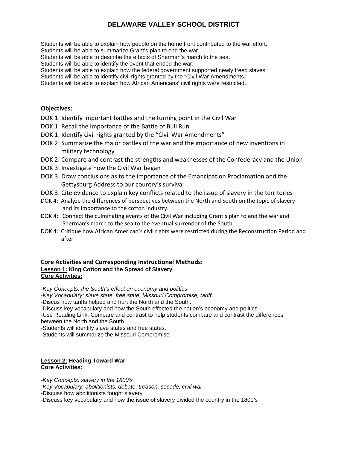Students will be able to explain how people on the home front contributed to the war effort. Students will be able to summarize Grant's plan to end the war.

Students will be able to describe the effects of Sherman's march to the sea.

Students will be able to identify the event that ended the war.

Students will be able to explain how the federal government supported newly freed slaves.

Students will be able to identify civil rights granted by the "Civil War Amendments."

Students will be able to explain how African Americans' civil rights were restricted.

#### **Objectives:**

- DOK 1: Identify important battles and the turning point in the Civil War
- DOK 1: Recall the importance of the Battle of Bull Run
- DOK 1: Identify civil rights granted by the "Civil War Amendments"
- DOK 2: Summarize the major battles of the war and the importance of new inventions in military technology
- DOK 2: Compare and contrast the strengths and weaknesses of the Confederacy and the Union
- DOK 3: Investigate how the Civil War began
- DOK 3: Draw conclusions as to the importance of the Emancipation Proclamation and the Gettysburg Address to our country's survival
- DOK 3: Cite evidence to explain key conflicts related to the issue of slavery in the territories
- DOK 4: Analyze the differences of perspectives between the North and South on the topic of slavery and its importance to the cotton industry.
- DOK 4: Connect the culminating events of the Civil War including Grant's plan to end the war and Sherman's march to the sea to the eventual surrender of the South
- DOK 4: Critique how African American's civil rights were restricted during the Reconstruction Period and after

#### **Core Activities and Corresponding Instructional Methods: Lesson 1: King Cotton and the Spread of Slavery Core Activities:**

*-Key Concepts: the South's effect on economy and politics* 

*-Key Vocabulary: slave state, free state, Missouri Compromise, tariff*

-Discus how tariffs helped and hurt the North and the South.

-Discuss key vocabulary and how the South effected the nation's economy and politics.

-Use Reading Link: Compare and contrast to help students compare and contrast the differences between the North and the South.

-Students will identify slave states and free states.

-Students will summarize the Missouri Compromise

#### **Lesson 2: Heading Toward War Core Activities:**

.

*-Key Concepts: slavery in the 1800's* 

*-Key Vocabulary: abolitionists, debate, treason, secede, civil war* 

-Discuss how abolitionists fought slavery

-Discuss key vocabulary and how the issue of slavery divided the country in the 1800's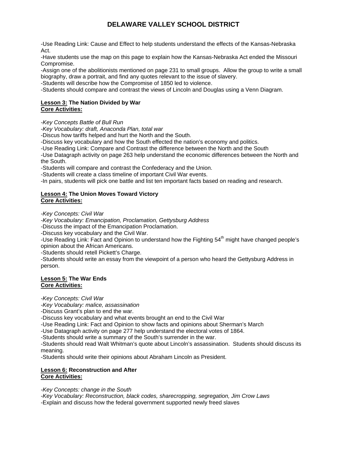-Use Reading Link: Cause and Effect to help students understand the effects of the Kansas-Nebraska Act.

-Have students use the map on this page to explain how the Kansas-Nebraska Act ended the Missouri Compromise.

-Assign one of the abolitionists mentioned on page 231 to small groups. Allow the group to write a small biography, draw a portrait, and find any quotes relevant to the issue of slavery.

-Students will describe how the Compromise of 1850 led to violence.

-Students should compare and contrast the views of Lincoln and Douglas using a Venn Diagram.

#### **Lesson 3: The Nation Divided by War Core Activities:**

*-Key Concepts Battle of Bull Run* 

*-Key Vocabulary: draft, Anaconda Plan, total war*

-Discus how tariffs helped and hurt the North and the South.

-Discuss key vocabulary and how the South effected the nation's economy and politics.

-Use Reading Link: Compare and Contrast the difference between the North and the South

-Use Datagraph activity on page 263 help understand the economic differences between the North and the South.

-Students will compare and contrast the Confederacy and the Union.

-Students will create a class timeline of important Civil War events.

-In pairs, students will pick one battle and list ten important facts based on reading and research.

#### **Lesson 4: The Union Moves Toward Victory Core Activities:**

*-Key Concepts: Civil War* 

*-Key Vocabulary: Emancipation, Proclamation, Gettysburg Address*

-Discuss the impact of the Emancipation Proclamation.

-Discuss key vocabulary and the Civil War.

-Use Reading Link: Fact and Opinion to understand how the Fighting  $54<sup>th</sup>$  might have changed people's opinion about the African Americans.

-Students should retell Pickett's Charge.

-Students should write an essay from the viewpoint of a person who heard the Gettysburg Address in person.

#### **Lesson 5: The War Ends Core Activities:**

*-Key Concepts: Civil War* 

*-Key Vocabulary: malice, assassination*

-Discuss Grant's plan to end the war.

-Discuss key vocabulary and what events brought an end to the Civil War

-Use Reading Link: Fact and Opinion to show facts and opinions about Sherman's March

-Use Datagraph activity on page 277 help understand the electoral votes of 1864.

-Students should write a summary of the South's surrender in the war.

-Students should read Walt Whitman's quote about Lincoln's assassination. Students should discuss its meaning.

-Students should write their opinions about Abraham Lincoln as President.

#### **Lesson 6: Reconstruction and After Core Activities:**

*-Key Concepts: change in the South* 

*-Key Vocabulary: Reconstruction, black codes, sharecropping, segregation, Jim Crow Laws*  -Explain and discuss how the federal government supported newly freed slaves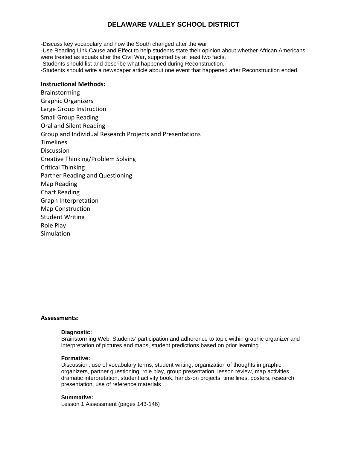-Discuss key vocabulary and how the South changed after the war

-Use Reading Link Cause and Effect to help students state their opinion about whether African Americans were treated as equals after the Civil War, supported by at least two facts.

-Students should list and describe what happened during Reconstruction.

-Students should write a newspaper article about one event that happened after Reconstruction ended.

#### **Instructional Methods:**

Brainstorming Graphic Organizers Large Group Instruction Small Group Reading Oral and Silent Reading Group and Individual Research Projects and Presentations Timelines Discussion Creative Thinking/Problem Solving Critical Thinking Partner Reading and Questioning Map Reading Chart Reading Graph Interpretation Map Construction Student Writing Role Play **Simulation** 

#### **Assessments:**

#### **Diagnostic:**

Brainstorming Web: Students' participation and adherence to topic within graphic organizer and interpretation of pictures and maps, student predictions based on prior learning

#### **Formative:**

Discussion, use of vocabulary terms, student writing, organization of thoughts in graphic organizers, partner questioning, role play, group presentation, lesson review, map activities, dramatic interpretation, student activity book, hands-on projects, time lines, posters, research presentation, use of reference materials

#### **Summative:**

Lesson 1 Assessment (pages 143-146)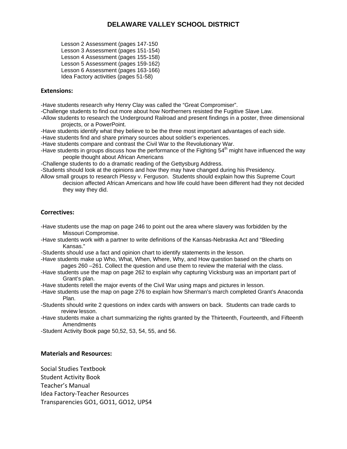Lesson 2 Assessment (pages 147-150 Lesson 3 Assessment (pages 151-154) Lesson 4 Assessment (pages 155-158) Lesson 5 Assessment (pages 159-162) Lesson 6 Assessment (pages 163-166) Idea Factory activities (pages 51-58)

#### **Extensions:**

-Have students research why Henry Clay was called the "Great Compromiser".

-Challenge students to find out more about how Northerners resisted the Fugitive Slave Law.

-Allow students to research the Underground Railroad and present findings in a poster, three dimensional projects, or a PowerPoint.

-Have students identify what they believe to be the three most important advantages of each side.

-Have students find and share primary sources about soldier's experiences.

-Have students compare and contrast the Civil War to the Revolutionary War.

-Have students in groups discuss how the performance of the Fighting 54<sup>th</sup> might have influenced the way people thought about African Americans

-Challenge students to do a dramatic reading of the Gettysburg Address.

-Students should look at the opinions and how they may have changed during his Presidency.

Allow small groups to research Plessy v. Ferguson. Students should explain how this Supreme Court decision affected African Americans and how life could have been different had they not decided they way they did.

#### **Correctives:**

-Have students use the map on page 246 to point out the area where slavery was forbidden by the Missouri Compromise.

- -Have students work with a partner to write definitions of the Kansas-Nebraska Act and "Bleeding Kansas."
- -Students should use a fact and opinion chart to identify statements in the lesson.

-Have students make up Who, What, When, Where, Why, and How question based on the charts on pages 260 –261. Collect the question and use them to review the material with the class.

- -Have students use the map on page 262 to explain why capturing Vicksburg was an important part of Grant's plan.
- -Have students retell the major events of the Civil War using maps and pictures in lesson.
- -Have students use the map on page 276 to explain how Sherman's march completed Grant's Anaconda Plan.
- -Students should write 2 questions on index cards with answers on back. Students can trade cards to review lesson.
- -Have students make a chart summarizing the rights granted by the Thirteenth, Fourteenth, and Fifteenth Amendments

-Student Activity Book page 50,52, 53, 54, 55, and 56.

#### **Materials and Resources:**

Social Studies Textbook Student Activity Book Teacher's Manual Idea Factory‐Teacher Resources Transparencies GO1, GO11, GO12, UPS4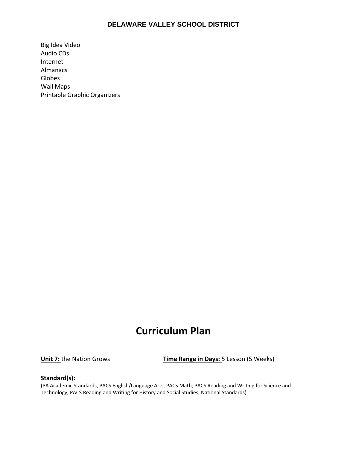Big Idea Video Audio CDs Internet Almanacs Globes Wall Maps Printable Graphic Organizers

# **Curriculum Plan**

**Unit 7:** the Nation Grows **Time Range in Days:** 5 Lesson (5 Weeks)

#### **Standard(s):**

(PA Academic Standards, PACS English/Language Arts, PACS Math, PACS Reading and Writing for Science and Technology, PACS Reading and Writing for History and Social Studies, National Standards)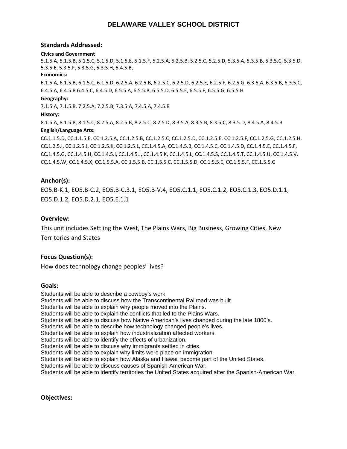#### **Standards Addressed:**

#### **Civics and Government**

5.1.5.A, 5.1.5.B, 5.1.5.C, 5.1.5.D, 5.1.5.E, 5.1.5.F, 5.2.5.A, 5.2.5.B, 5.2.5.C, 5.2.5.D, 5.3.5.A, 5.3.5.B, 5.3.5.C, 5.3.5.D, 5.3.5.E, 5.3.5.F, 5.3.5.G, 5.3.5.H, 5.4.5.B,

#### **Economics:**

6.1.5.A, 6.1.5.B, 6.1.5.C, 6.1.5.D, 6.2.5.A, 6.2.5.B, 6.2.5.C, 6.2.5.D, 6.2.5.E, 6.2.5.F, 6.2.5.G, 6.3.5.A, 6.3.5.B, 6.3.5.C, 6.4.5.A, 6.4.5.B 6.4.5.C, 6.4.5.D, 6.5.5.A, 6.5.5.B, 6.5.5.D, 6.5.5.E, 6.5.5.F, 6.5.5.G, 6.5.5.H

#### **Geography:**

7.1.5.A, 7.1.5.B, 7.2.5.A, 7.2.5.B, 7.3.5.A, 7.4.5.A, 7.4.5.B

#### **History:**

8.1.5.A, 8.1.5.B, 8.1.5.C, 8.2.5.A, 8.2.5.B, 8.2.5.C, 8.2.5.D, 8.3.5.A, 8.3.5.B, 8.3.5.C, 8.3.5.D, 8.4.5.A, 8.4.5.B **English/Language Arts:**

CC.1.1.5.D, CC.1.1.5.E, CC.1.2.5.A, CC.1.2.5.B, CC.1.2.5.C, CC.1.2.5.D, CC.1.2.5.E, CC.1.2.5.F, CC.1.2.5.G, CC.1.2.5.H, CC.1.2.5.I, CC.1.2.5.J, CC.1.2.5.K, CC.1.2.5.L, CC.1.4.5.A, CC.1.4.5.B, CC.1.4.5.C, CC.1.4.5.D, CC.1.4.5.E, CC.1.4.5.F, CC.1.4.5.G, CC.1.4.5.H, CC.1.4.5.I, CC.1.4.5.J, CC.1.4.5.K, CC.1.4.5.L, CC.1.4.5.S, CC.1.4.5.T, CC.1.4.5.U, CC.1.4.5.V, CC.1.4.5.W, CC.1.4.5.X, CC.1.5.5.A, CC.1.5.5.B, CC.1.5.5.C, CC.1.5.5.D, CC.1.5.5.E, CC.1.5.5.F, CC.1.5.5.G

#### **Anchor(s):**

EO5.B‐K.1, EO5.B‐C.2, EO5.B‐C.3.1, EO5.B‐V.4, EO5.C.1.1, EO5.C.1.2, EO5.C.1.3, EO5.D.1.1, EO5.D.1.2, EO5.D.2.1, EO5.E.1.1

#### **Overview:**

This unit includes Settling the West, The Plains Wars, Big Business, Growing Cities, New Territories and States

#### **Focus Question(s):**

How does technology change peoples' lives?

#### **Goals:**

Students will be able to describe a cowboy's work. Students will be able to discuss how the Transcontinental Railroad was built. Students will be able to explain why people moved into the Plains. Students will be able to explain the conflicts that led to the Plains Wars. Students will be able to discuss how Native American's lives changed during the late 1800's. Students will be able to describe how technology changed people's lives. Students will be able to explain how industrialization affected workers. Students will be able to identify the effects of urbanization. Students will be able to discuss why immigrants settled in cities. Students will be able to explain why limits were place on immigration. Students will be able to explain how Alaska and Hawaii become part of the United States. Students will be able to discuss causes of Spanish-American War. Students will be able to identify territories the United States acquired after the Spanish-American War.

**Objectives:**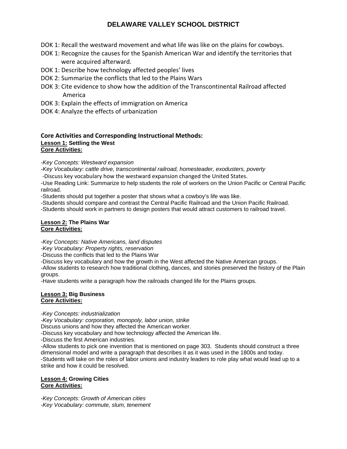- DOK 1: Recall the westward movement and what life was like on the plains for cowboys.
- DOK 1: Recognize the causes for the Spanish American War and identify the territories that were acquired afterward.
- DOK 1: Describe how technology affected peoples' lives
- DOK 2: Summarize the conflicts that led to the Plains Wars
- DOK 3: Cite evidence to show how the addition of the Transcontinental Railroad affected America
- DOK 3: Explain the effects of immigration on America
- DOK 4: Analyze the effects of urbanization

#### **Core Activities and Corresponding Instructional Methods: Lesson 1: Settling the West Core Activities:**

*-Key Concepts: Westward expansion* 

*-Key Vocabulary: cattle drive, transcontinental railroad, homesteader, exodusters, poverty* 

‐Discuss key vocabulary how the westward expansion changed the United States.

-Use Reading Link: Summarize to help students the role of workers on the Union Pacific or Central Pacific railroad.

-Students should put together a poster that shows what a cowboy's life was like.

-Students should compare and contrast the Central Pacific Railroad and the Union Pacific Railroad.

-Students should work in partners to design posters that would attract customers to railroad travel.

#### **Lesson 2: The Plains War Core Activities:**

*-Key Concepts: Native Americans, land disputes* 

*-Key Vocabulary: Property rights, reservation* 

-Discuss the conflicts that led to the Plains War

-Discuss key vocabulary and how the growth in the West affected the Native American groups.

-Allow students to research how traditional clothing, dances, and stories preserved the history of the Plain groups.

-Have students write a paragraph how the railroads changed life for the Plains groups.

#### **Lesson 3: Big Business Core Activities:**

*-Key Concepts: industrialization* 

*-Key Vocabulary: corporation, monopoly, labor union, strike*  Discuss unions and how they affected the American worker.

-Discuss key vocabulary and how technology affected the American life.

-Discuss the first American industries.

-Allow students to pick one invention that is mentioned on page 303. Students should construct a three dimensional model and write a paragraph that describes it as it was used in the 1800s and today. -Students will take on the roles of labor unions and industry leaders to role play what would lead up to a strike and how it could be resolved.

#### **Lesson 4: Growing Cities Core Activities:**

*-Key Concepts: Growth of American cities -Key Vocabulary: commute, slum, tenement*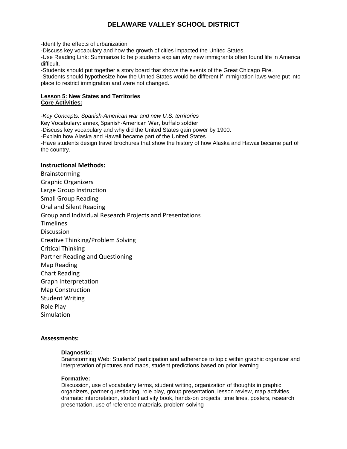-Identify the effects of urbanization

-Discuss key vocabulary and how the growth of cities impacted the United States.

-Use Reading Link: Summarize to help students explain why new immigrants often found life in America difficult.

-Students should put together a story board that shows the events of the Great Chicago Fire.

-Students should hypothesize how the United States would be different if immigration laws were put into place to restrict immigration and were not changed.

#### **Lesson 5: New States and Territories Core Activities:**

*-Key Concepts: Spanish-American war and new U.S. territories*  Key Vocabulary: annex, Spanish‐American War, buffalo soldier -Discuss key vocabulary and why did the United States gain power by 1900. -Explain how Alaska and Hawaii became part of the United States. -Have students design travel brochures that show the history of how Alaska and Hawaii became part of the country.

#### **Instructional Methods:**

Brainstorming Graphic Organizers Large Group Instruction Small Group Reading Oral and Silent Reading Group and Individual Research Projects and Presentations Timelines **Discussion** Creative Thinking/Problem Solving Critical Thinking Partner Reading and Questioning Map Reading Chart Reading Graph Interpretation Map Construction Student Writing Role Play Simulation

#### **Assessments:**

#### **Diagnostic:**

Brainstorming Web: Students' participation and adherence to topic within graphic organizer and interpretation of pictures and maps, student predictions based on prior learning

#### **Formative:**

Discussion, use of vocabulary terms, student writing, organization of thoughts in graphic organizers, partner questioning, role play, group presentation, lesson review, map activities, dramatic interpretation, student activity book, hands-on projects, time lines, posters, research presentation, use of reference materials, problem solving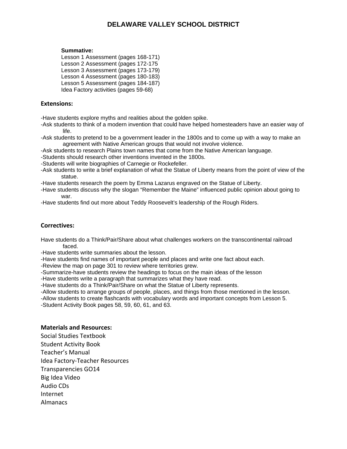#### **Summative:**

Lesson 1 Assessment (pages 168-171) Lesson 2 Assessment (pages 172-175 Lesson 3 Assessment (pages 173-179) Lesson 4 Assessment (pages 180-183) Lesson 5 Assessment (pages 184-187) Idea Factory activities (pages 59-68)

#### **Extensions:**

-Have students explore myths and realities about the golden spike.

- -Ask students to think of a modern invention that could have helped homesteaders have an easier way of life.
- -Ask students to pretend to be a government leader in the 1800s and to come up with a way to make an agreement with Native American groups that would not involve violence.
- -Ask students to research Plains town names that come from the Native American language.
- -Students should research other inventions invented in the 1800s.
- -Students will write biographies of Carnegie or Rockefeller.
- -Ask students to write a brief explanation of what the Statue of Liberty means from the point of view of the statue.
- -Have students research the poem by Emma Lazarus engraved on the Statue of Liberty.
- -Have students discuss why the slogan "Remember the Maine" influenced public opinion about going to war.

-Have students find out more about Teddy Roosevelt's leadership of the Rough Riders.

### **Correctives:**

Have students do a Think/Pair/Share about what challenges workers on the transcontinental railroad faced.

-Have students write summaries about the lesson.

-Have students find names of important people and places and write one fact about each.

-Review the map on page 301 to review where territories grew.

-Summarize-have students review the headings to focus on the main ideas of the lesson

-Have students write a paragraph that summarizes what they have read.

-Have students do a Think/Pair/Share on what the Statue of Liberty represents.

-Allow students to arrange groups of people, places, and things from those mentioned in the lesson.

-Allow students to create flashcards with vocabulary words and important concepts from Lesson 5.

-Student Activity Book pages 58, 59, 60, 61, and 63.

#### **Materials and Resources:**

Social Studies Textbook Student Activity Book Teacher's Manual Idea Factory‐Teacher Resources Transparencies GO14 Big Idea Video Audio CDs Internet Almanacs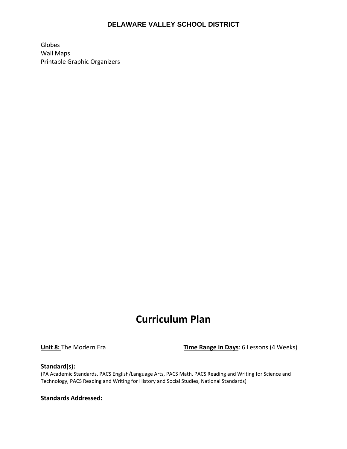Globes Wall Maps Printable Graphic Organizers

# **Curriculum Plan**

**Unit 8:** The Modern Era **Time Range in Days**: 6 Lessons (4 Weeks)

#### **Standard(s):**

(PA Academic Standards, PACS English/Language Arts, PACS Math, PACS Reading and Writing for Science and Technology, PACS Reading and Writing for History and Social Studies, National Standards)

**Standards Addressed:**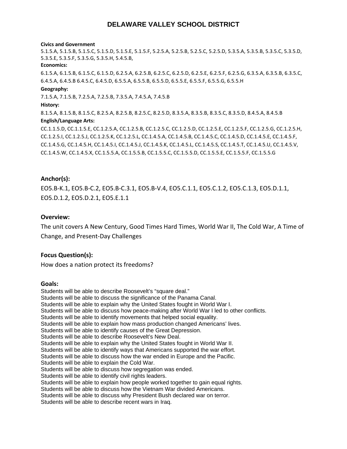#### **Civics and Government**

5.1.5.A, 5.1.5.B, 5.1.5.C, 5.1.5.D, 5.1.5.E, 5.1.5.F, 5.2.5.A, 5.2.5.B, 5.2.5.C, 5.2.5.D, 5.3.5.A, 5.3.5.B, 5.3.5.C, 5.3.5.D, 5.3.5.E, 5.3.5.F, 5.3.5.G, 5.3.5.H, 5.4.5.B,

#### **Economics:**

6.1.5.A, 6.1.5.B, 6.1.5.C, 6.1.5.D, 6.2.5.A, 6.2.5.B, 6.2.5.C, 6.2.5.D, 6.2.5.E, 6.2.5.F, 6.2.5.G, 6.3.5.A, 6.3.5.B, 6.3.5.C, 6.4.5.A, 6.4.5.B 6.4.5.C, 6.4.5.D, 6.5.5.A, 6.5.5.B, 6.5.5.D, 6.5.5.E, 6.5.5.F, 6.5.5.G, 6.5.5.H

#### **Geography:**

7.1.5.A, 7.1.5.B, 7.2.5.A, 7.2.5.B, 7.3.5.A, 7.4.5.A, 7.4.5.B

#### **History:**

8.1.5.A, 8.1.5.B, 8.1.5.C, 8.2.5.A, 8.2.5.B, 8.2.5.C, 8.2.5.D, 8.3.5.A, 8.3.5.B, 8.3.5.C, 8.3.5.D, 8.4.5.A, 8.4.5.B **English/Language Arts:**

CC.1.1.5.D, CC.1.1.5.E, CC.1.2.5.A, CC.1.2.5.B, CC.1.2.5.C, CC.1.2.5.D, CC.1.2.5.E, CC.1.2.5.F, CC.1.2.5.G, CC.1.2.5.H, CC.1.2.5.I, CC.1.2.5.J, CC.1.2.5.K, CC.1.2.5.L, CC.1.4.5.A, CC.1.4.5.B, CC.1.4.5.C, CC.1.4.5.D, CC.1.4.5.E, CC.1.4.5.F, CC.1.4.5.G, CC.1.4.5.H, CC.1.4.5.I, CC.1.4.5.J, CC.1.4.5.K, CC.1.4.5.L, CC.1.4.5.S, CC.1.4.5.T, CC.1.4.5.U, CC.1.4.5.V, CC.1.4.5.W, CC.1.4.5.X, CC.1.5.5.A, CC.1.5.5.B, CC.1.5.5.C, CC.1.5.5.D, CC.1.5.5.E, CC.1.5.5.F, CC.1.5.5.G

#### **Anchor(s):**

EO5.B‐K.1, EO5.B‐C.2, EO5.B‐C.3.1, EO5.B‐V.4, EO5.C.1.1, EO5.C.1.2, EO5.C.1.3, EO5.D.1.1, EO5.D.1.2, EO5.D.2.1, EO5.E.1.1

#### **Overview:**

The unit covers A New Century, Good Times Hard Times, World War II, The Cold War, A Time of Change, and Present‐Day Challenges

#### **Focus Question(s):**

How does a nation protect its freedoms?

#### **Goals:**

Students will be able to describe Roosevelt's "square deal." Students will be able to discuss the significance of the Panama Canal. Students will be able to explain why the United States fought in World War I. Students will be able to discuss how peace-making after World War I led to other conflicts. Students will be able to identify movements that helped social equality. Students will be able to explain how mass production changed Americans' lives. Students will be able to identify causes of the Great Depression. Students will be able to describe Roosevelt's New Deal. Students will be able to explain why the United States fought in World War II. Students will be able to identify ways that Americans supported the war effort. Students will be able to discuss how the war ended in Europe and the Pacific. Students will be able to explain the Cold War. Students will be able to discuss how segregation was ended. Students will be able to identify civil rights leaders. Students will be able to explain how people worked together to gain equal rights. Students will be able to discuss how the Vietnam War divided Americans. Students will be able to discuss why President Bush declared war on terror. Students will be able to describe recent wars in Iraq.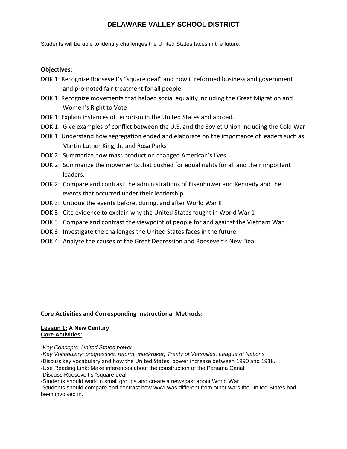Students will be able to identify challenges the United States faces in the future.

#### **Objectives:**

- DOK 1: Recognize Roosevelt's "square deal" and how it reformed business and government and promoted fair treatment for all people.
- DOK 1: Recognize movements that helped social equality including the Great Migration and Women's Right to Vote
- DOK 1: Explain instances of terrorism in the United States and abroad.
- DOK 1: Give examples of conflict between the U.S. and the Soviet Union including the Cold War
- DOK 1: Understand how segregation ended and elaborate on the importance of leaders such as Martin Luther King, Jr. and Rosa Parks
- DOK 2: Summarize how mass production changed American's lives.
- DOK 2: Summarize the movements that pushed for equal rights for all and their important leaders.
- DOK 2: Compare and contrast the administrations of Eisenhower and Kennedy and the events that occurred under their leadership
- DOK 3: Critique the events before, during, and after World War II
- DOK 3: Cite evidence to explain why the United States fought in World War 1
- DOK 3: Compare and contrast the viewpoint of people for and against the Vietnam War
- DOK 3: Investigate the challenges the United States faces in the future.
- DOK 4: Analyze the causes of the Great Depression and Roosevelt's New Deal

#### **Core Activities and Corresponding Instructional Methods:**

#### **Lesson 1: A New Century Core Activities:**

*-Key Concepts: United States power* 

*-Key Vocabulary: progressive, reform, muckraker, Treaty of Versailles, League of Nations* 

‐Discuss key vocabulary and how the United States' power increase between 1990 and 1918.

-Use Reading Link: Make inferences about the construction of the Panama Canal.

-Discuss Roosevelt's "square deal"

-Students should work in small groups and create a newscast about World War I.

-Students should compare and contrast how WWI was different from other wars the United States had been involved in.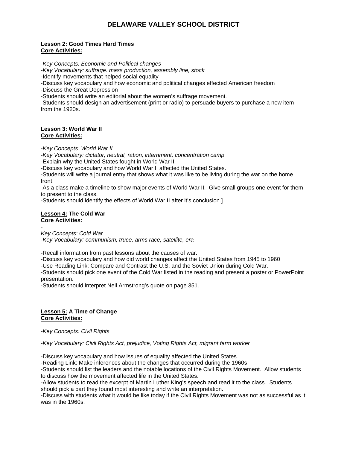#### **Lesson 2: Good Times Hard Times Core Activities:**

*-Key Concepts: Economic and Political changes* 

*-Key Vocabulary: suffrage. mass production, assembly line, stock* 

-Identify movements that helped social equality

-Discuss key vocabulary and how economic and political changes effected American freedom

-Discuss the Great Depression

-Students should write an editorial about the women's suffrage movement.

-Students should design an advertisement (print or radio) to persuade buyers to purchase a new item from the 1920s.

#### **Lesson 3: World War II Core Activities:**

*-Key Concepts: World War II* 

*-Key Vocabulary: dictator, neutral, ration, internment, concentration camp* 

-Explain why the United States fought in World War II.

-Discuss key vocabulary and how World War II affected the United States.

-Students will write a journal entry that shows what it was like to be living during the war on the home front.

-As a class make a timeline to show major events of World War II. Give small groups one event for them to present to the class.

-Students should identify the effects of World War II after it's conclusion.]

#### **Lesson 4: The Cold War Core Activities:**

*-* 

*Key Concepts: Cold War* 

*-Key Vocabulary: communism, truce, arms race, satellite, era*

-Recall information from past lessons about the causes of war.

-Discuss key vocabulary and how did world changes affect the United States from 1945 to 1960

-Use Reading Link: Compare and Contrast the U.S. and the Soviet Union during Cold War.

-Students should pick one event of the Cold War listed in the reading and present a poster or PowerPoint presentation.

-Students should interpret Neil Armstrong's quote on page 351.

#### **Lesson 5: A Time of Change Core Activities:**

*-Key Concepts: Civil Rights* 

*-Key Vocabulary: Civil Rights Act, prejudice, Voting Rights Act, migrant farm worker* 

-Discuss key vocabulary and how issues of equality affected the United States.

-Reading Link: Make inferences about the changes that occurred during the 1960s

-Students should list the leaders and the notable locations of the Civil Rights Movement. Allow students to discuss how the movement affected life in the United States.

-Allow students to read the excerpt of Martin Luther King's speech and read it to the class. Students should pick a part they found most interesting and write an interpretation.

-Discuss with students what it would be like today if the Civil Rights Movement was not as successful as it was in the 1960s.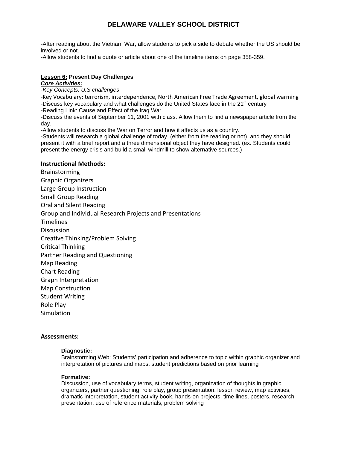-After reading about the Vietnam War, allow students to pick a side to debate whether the US should be involved or not.

-Allow students to find a quote or article about one of the timeline items on page 358-359.

#### **Lesson 6: Present Day Challenges**

#### *Core Activities:*

*-Key Concepts: U.S challenges* 

‐Key Vocabulary: terrorism, interdependence, North American Free Trade Agreement, global warming -Discuss key vocabulary and what challenges do the United States face in the 21<sup>st</sup> century

-Reading Link: Cause and Effect of the Iraq War.

-Discuss the events of September 11, 2001 with class. Allow them to find a newspaper article from the day.

-Allow students to discuss the War on Terror and how it affects us as a country.

-Students will research a global challenge of today, (either from the reading or not), and they should present it with a brief report and a three dimensional object they have designed. (ex. Students could present the energy crisis and build a small windmill to show alternative sources.)

#### **Instructional Methods:**

Brainstorming Graphic Organizers Large Group Instruction Small Group Reading Oral and Silent Reading Group and Individual Research Projects and Presentations Timelines **Discussion** Creative Thinking/Problem Solving Critical Thinking Partner Reading and Questioning Map Reading Chart Reading Graph Interpretation Map Construction Student Writing Role Play Simulation

#### **Assessments:**

#### **Diagnostic:**

Brainstorming Web: Students' participation and adherence to topic within graphic organizer and interpretation of pictures and maps, student predictions based on prior learning

#### **Formative:**

Discussion, use of vocabulary terms, student writing, organization of thoughts in graphic organizers, partner questioning, role play, group presentation, lesson review, map activities, dramatic interpretation, student activity book, hands-on projects, time lines, posters, research presentation, use of reference materials, problem solving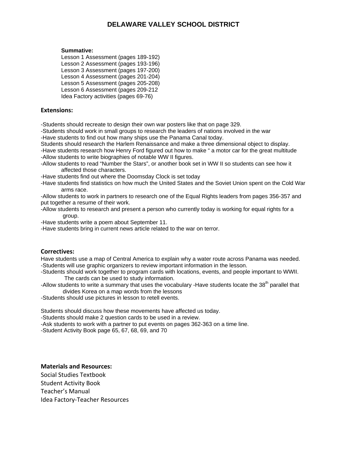#### **Summative:**

Lesson 1 Assessment (pages 189-192) Lesson 2 Assessment (pages 193-196) Lesson 3 Assessment (pages 197-200) Lesson 4 Assessment (pages 201-204) Lesson 5 Assessment (pages 205-208) Lesson 6 Assessment (pages 209-212 Idea Factory activities (pages 69-76)

#### **Extensions:**

-Students should recreate to design their own war posters like that on page 329.

-Students should work in small groups to research the leaders of nations involved in the war -Have students to find out how many ships use the Panama Canal today.

Students should research the Harlem Renaissance and make a three dimensional object to display.

-Have students research how Henry Ford figured out how to make " a motor car for the great multitude -Allow students to write biographies of notable WW II figures.

-Allow students to read "Number the Stars", or another book set in WW II so students can see how it affected those characters.

-Have students find out where the Doomsday Clock is set today

-Have students find statistics on how much the United States and the Soviet Union spent on the Cold War arms race.

-Allow students to work in partners to research one of the Equal Rights leaders from pages 356-357 and put together a resume of their work.

- -Allow students to research and present a person who currently today is working for equal rights for a group.
- -Have students write a poem about September 11.
- -Have students bring in current news article related to the war on terror.

#### **Correctives:**

Have students use a map of Central America to explain why a water route across Panama was needed. -Students will use graphic organizers to review important information in the lesson.

-Students should work together to program cards with locations, events, and people important to WWII. The cards can be used to study information.

- -Allow students to write a summary that uses the vocabulary -Have students locate the 38<sup>th</sup> parallel that divides Korea on a map words from the lessons
- -Students should use pictures in lesson to retell events.

Students should discuss how these movements have affected us today.

-Students should make 2 question cards to be used in a review.

- -Ask students to work with a partner to put events on pages 362-363 on a time line.
- -Student Activity Book page 65, 67, 68, 69, and 70

#### **Materials and Resources:**

Social Studies Textbook Student Activity Book Teacher's Manual Idea Factory‐Teacher Resources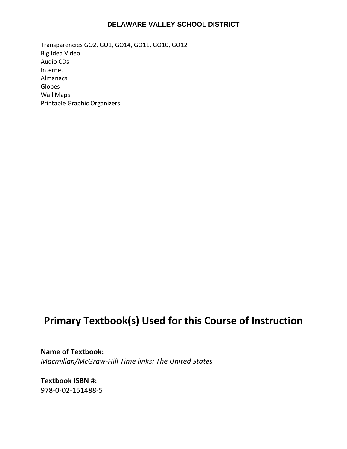Transparencies GO2, GO1, GO14, GO11, GO10, GO12 Big Idea Video Audio CDs Internet Almanacs Globes Wall Maps Printable Graphic Organizers

# **Primary Textbook(s) Used for this Course of Instruction**

**Name of Textbook:**  *Macmillan/McGraw‐Hill Time links: The United States*

**Textbook ISBN #:**  978‐0‐02‐151488‐5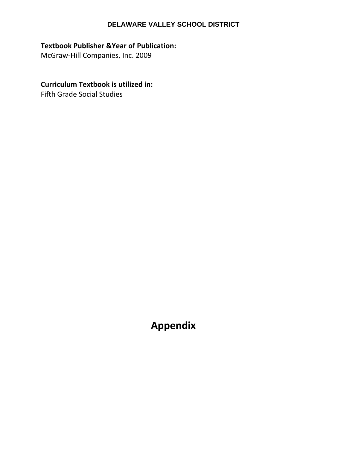# **Textbook Publisher &Year of Publication:**

McGraw‐Hill Companies, Inc. 2009

# **Curriculum Textbook is utilized in:**

Fifth Grade Social Studies

**Appendix**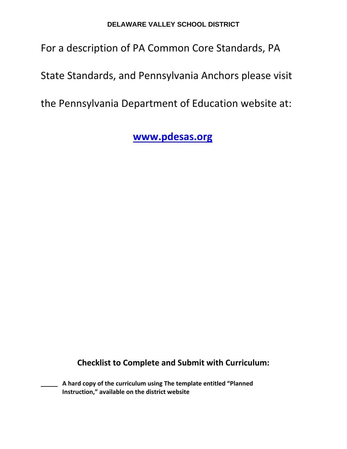# For a description of PA Common Core Standards, PA

State Standards, and Pennsylvania Anchors please visit

the Pennsylvania Department of Education website at:

 **www.pdesas.org** 

**Checklist to Complete and Submit with Curriculum:**

**\_\_\_\_\_ A hard copy of the curriculum using The template entitled "Planned Instruction," available on the district website**